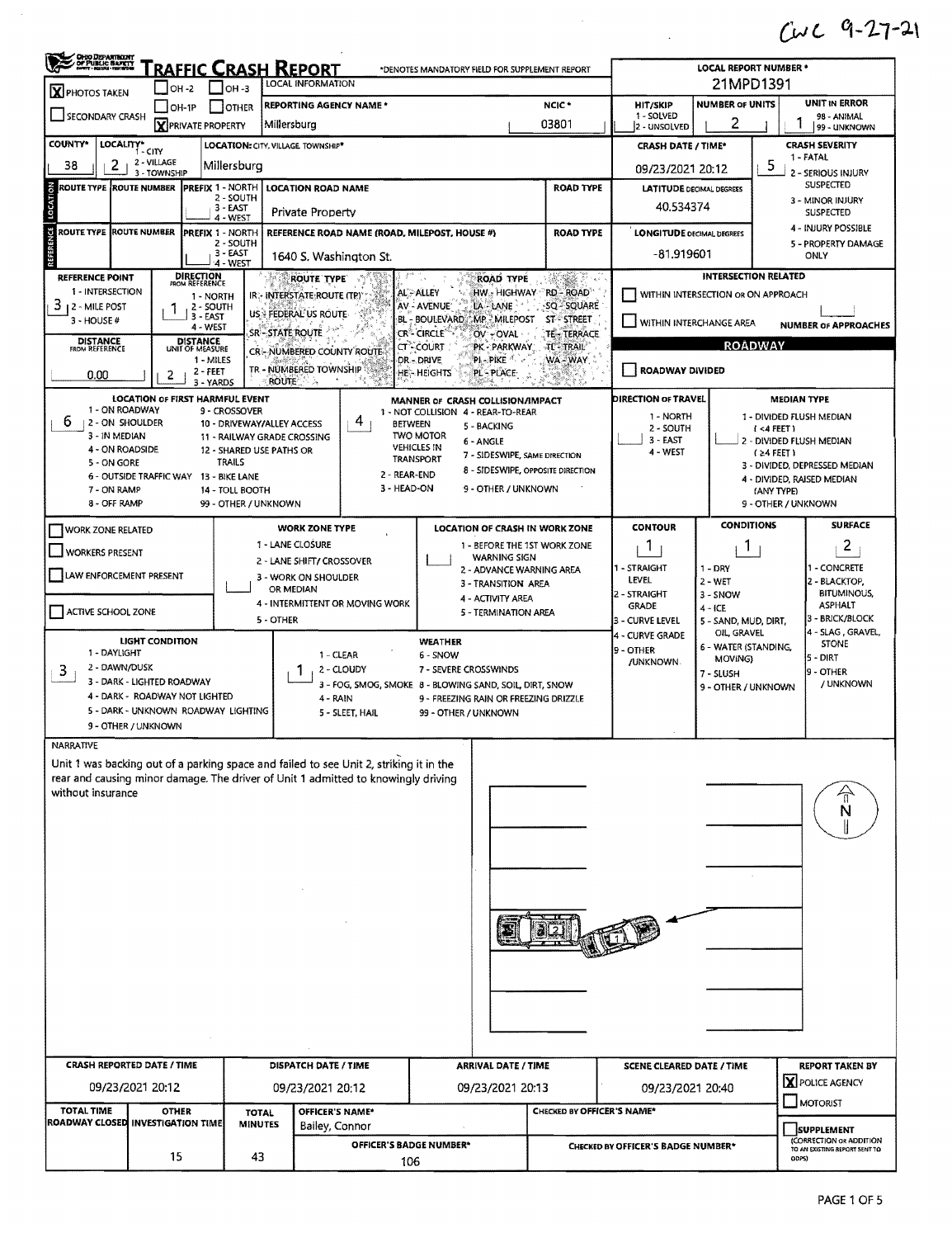## $CUC 9-27-21$

|                                                                                                                          |                                                                                                                            |                                                                                                                                                       |                                                                                                                                                       |                                |                                                                                                                                                                             |                                                                                                                                                                                                                                                                                 |                                                                                                                      |                                                                                                                    |                                                                                                                                          | $CUC 9-27-3$                                                                                                                                                                                              |  |
|--------------------------------------------------------------------------------------------------------------------------|----------------------------------------------------------------------------------------------------------------------------|-------------------------------------------------------------------------------------------------------------------------------------------------------|-------------------------------------------------------------------------------------------------------------------------------------------------------|--------------------------------|-----------------------------------------------------------------------------------------------------------------------------------------------------------------------------|---------------------------------------------------------------------------------------------------------------------------------------------------------------------------------------------------------------------------------------------------------------------------------|----------------------------------------------------------------------------------------------------------------------|--------------------------------------------------------------------------------------------------------------------|------------------------------------------------------------------------------------------------------------------------------------------|-----------------------------------------------------------------------------------------------------------------------------------------------------------------------------------------------------------|--|
| <b>CHEO DEPARTINENT</b><br>/ OF PUBLIC BAFETT<br>  natit - Recolu - Network                                              |                                                                                                                            |                                                                                                                                                       |                                                                                                                                                       |                                | <u>RAFFIC CRASH REPORT</u>                                                                                                                                                  | *DENOTES MANDATORY FIELD FOR SUPPLEMENT REPORT                                                                                                                                                                                                                                  |                                                                                                                      |                                                                                                                    | <b>LOCAL REPORT NUMBER *</b>                                                                                                             |                                                                                                                                                                                                           |  |
| $\mathbf X$ PHOTOS TAKEN<br>SECONDARY CRASH                                                                              | OH -2<br>$\Box$ OH-1P                                                                                                      |                                                                                                                                                       | $IOH - 3$<br><b>JOTHER</b><br><b>X</b> PRIVATE PROPERTY                                                                                               | Millersburg                    | LOCAL INFORMATION<br><b>REPORTING AGENCY NAME*</b>                                                                                                                          |                                                                                                                                                                                                                                                                                 | NCIC <sup>*</sup><br>03801                                                                                           | HIT/SKIP<br>1 - SOLVED<br>2 - UNSOLVED                                                                             | 21MPD1391<br><b>NUMBER OF UNITS</b><br>2                                                                                                 | UNIT IN ERROR<br>98 - ANIMAL<br>1<br>99 - UNKNOWN                                                                                                                                                         |  |
| <b>COUNTY*</b><br>LOCALITY* CITY                                                                                         |                                                                                                                            |                                                                                                                                                       |                                                                                                                                                       |                                | LOCATION: CITY, VILLAGE TOWNSHIP*                                                                                                                                           |                                                                                                                                                                                                                                                                                 |                                                                                                                      | <b>CRASH DATE / TIME*</b>                                                                                          |                                                                                                                                          | <b>CRASH SEVERITY</b>                                                                                                                                                                                     |  |
| 2<br>38                                                                                                                  | 2 - VILLAGE<br>3 - TOWNSHIP                                                                                                |                                                                                                                                                       | Millersburg                                                                                                                                           |                                |                                                                                                                                                                             |                                                                                                                                                                                                                                                                                 |                                                                                                                      | 09/23/2021 20:12                                                                                                   |                                                                                                                                          | 1 - FATAL<br>5<br>2 - SERIOUS INJURY                                                                                                                                                                      |  |
| LOCATION<br><b>ROUTE TYPE ROUTE NUMBER</b>                                                                               |                                                                                                                            |                                                                                                                                                       | <b>PREFIX 1 - NORTH</b><br>2 - SOUTH<br>3 - EAST<br>$4 - WEST$                                                                                        |                                | <b>LOCATION ROAD NAME</b><br>Private Property                                                                                                                               |                                                                                                                                                                                                                                                                                 | <b>ROAD TYPE</b>                                                                                                     | <b>LATITUDE DECIMAL DEGREES</b><br>40.534374                                                                       |                                                                                                                                          | <b>SUSPECTED</b><br>3 - MINOR INJURY<br><b>SUSPECTED</b>                                                                                                                                                  |  |
| <b>TERENCE</b><br>ROUTE TYPE ROUTE NUMBER                                                                                |                                                                                                                            |                                                                                                                                                       | <b>PREFIX 1 - NORTH</b><br>2 - SOUTH<br>3-EAST                                                                                                        |                                | REFERENCE ROAD NAME (ROAD, MILEPOST, HOUSE #)<br>1640 S. Washington St.                                                                                                     |                                                                                                                                                                                                                                                                                 | <b>ROAD TYPE</b>                                                                                                     | <b>LONGITUDE DECIMAL DEGREES</b><br>-81.919601                                                                     |                                                                                                                                          | 4 - INJURY POSSIBLE<br>5 - PROPERTY DAMAGE<br>ONLY                                                                                                                                                        |  |
| REFERENCE POINT<br>1 - INTERSECTION<br>3<br>12 - MILE POST<br>$3 - HOUSE #$<br><b>DISTANCE</b><br>FROM REFERENCE<br>0.00 | 2                                                                                                                          | <b>DIRECTION</b><br>FROM REFERENCE<br>1 - NORTH<br>2 - SOUTH<br>3 - EAST<br>4 - WEST<br><b>DISTANCE</b><br>UNIT OF MEASURE<br>1 - MILES<br>$2 - FEET$ | 4 - WEST                                                                                                                                              | SR - STATE ROUTE               | <b>ROUTE TYPE</b><br>IR - INTERSTATE ROUTE (TP)<br>US: FEDERAL US ROUTE<br><b>CRI-NUMBERED COUNTY ROUTE</b><br>TR - NUMBERED TOWNSHIP                                       | <b>ROAD TYPE</b><br>AL-ALLEY<br>AV - AVENUE<br>LA - LANE<br>BL - BOULEVARD MP - MILEPOST<br>CR <sup>®</sup> Circle′<br>OV-OVAL<br>CT - COURT<br>PK - PARKWAY<br>PL-PIKE <sup>4</sup><br>dr. – Drive<br>HE - HEIGHTS<br>PL PLACE                                                 | <b>Sergia</b><br>HW. HIGHWAY RD - ROAD<br>SQ - SQUARE<br>ST-STREET<br><b>TE TERRACE</b><br><b>TL-TRAIL</b><br>WA-WAY | WITHIN INTERCHANGE AREA<br>ROADWAY DIVIDED                                                                         | <b>INTERSECTION RELATED</b><br>WITHIN INTERSECTION OR ON APPROACH<br><b>ROADWAY</b>                                                      | <b>NUMBER OF APPROACHES</b>                                                                                                                                                                               |  |
| 1 - ON ROADWAY<br>6<br>2 - ON SHOULDER<br>3 - IN MEDIAN<br>4 - ON ROADSIDE<br>5 - ON GORE<br>7 - ON RAMP<br>8 - OFF RAMP | LOCATION OF FIRST HARMFUL EVENT<br>6 - OUTSIDE TRAFFIC WAY                                                                 | 3 - YARDS                                                                                                                                             | 9 - CROSSOVER<br>10 - DRIVEWAY/ALLEY ACCESS<br>12 - SHARED USE PATHS OR<br><b>TRAILS</b><br>13 - BIKE LANE<br>14 - TOLL BOOTH<br>99 - OTHER / UNKNOWN | <b>ROUTE</b>                   | 4<br>11 - RAILWAY GRADE CROSSING<br>2 - REAR-END<br>3 - HEAD-ON                                                                                                             | MANNER OF CRASH COLLISION/IMPACT<br>1 - NOT COLLISION 4 - REAR-TO-REAR<br><b>BETWEEN</b><br>5 - BACKING<br><b>TWO MOTOR</b><br>6 - ANGLE<br><b>VEHICLES IN</b><br>7 - SIDESWIPE, SAME DIRECTION<br><b>TRANSPORT</b><br>8 - SIDESWIPE, OPPOSITE DIRECTION<br>9 - OTHER / UNKNOWN |                                                                                                                      | DIRECTION OF TRAVEL<br>1 - NORTH<br>2 - SOUTH<br>3 - EAST<br>4 - WEST                                              |                                                                                                                                          | <b>MEDIAN TYPE</b><br>1 - DIVIDED FLUSH MEDIAN<br>(<4 FEET)<br>2 - DIVIDED FLUSH MEDIAN<br>(≥4 FEET )<br>3 - DIVIDED, DEPRESSED MEDIAN<br>4 - DIVIDED, RAISED MEDIAN<br>(ANY TYPE)<br>9 - OTHER / UNKNOWN |  |
| WORK ZONE RELATED<br>WORKERS PRESENT<br>LAW ENFORCEMENT PRESENT<br>ACTIVE SCHOOL ZONE                                    | <b>LIGHT CONDITION</b>                                                                                                     |                                                                                                                                                       |                                                                                                                                                       | 5 - OTHER                      | <b>WORK ZONE TYPE</b><br>1 - LANE CLOSURE<br>2 - LANE SHIFT/ CROSSOVER<br>3 - WORK ON SHOULDER<br>OR MEDIAN<br>4 - INTERMITTENT OR MOVING WORK                              | <b>LOCATION OF CRASH IN WORK ZONE</b><br>1 - BEFORE THE 1ST WORK ZONE<br><b>WARNING SIGN</b><br>2 - ADVANCE WARNING AREA<br>3 - TRANSITION AREA<br>4 - ACTIVITY AREA<br>5 - TERMINATION AREA<br><b>WEATHER</b>                                                                  |                                                                                                                      | <b>CONTOUR</b><br>Τ<br>1 - STRAIGHT<br>LEVEL<br>2 - STRAIGHT<br><b>GRADE</b><br>3 - CURVE LEVEL<br>4 - CURVE GRADE | <b>CONDITIONS</b><br>1<br>$1 - DRY$<br>2 - WET<br>$3 -$ SNOW<br>$4 - ICE$<br>5 - SAND, MUD, DIRT,<br>OIL, GRAVEL<br>6 - WATER (STANDING, | <b>SURFACE</b><br>2<br>1 - CONCRETE<br>2 - BLACKTOP,<br><b>BITUMINOUS,</b><br><b>ASPHALT</b><br>3 - BRICK/BLOCK<br>4 - SLAG, GRAVEL,<br><b>STONE</b>                                                      |  |
| 1 - DAYLIGHT<br>2 - DAWN/DUSK<br>3                                                                                       | 3 - DARK - LIGHTED ROADWAY<br>4 - DARK - ROADWAY NOT LIGHTED<br>5 - DARK - UNKNOWN ROADWAY LIGHTING<br>9 - OTHER / UNKNOWN |                                                                                                                                                       |                                                                                                                                                       |                                | 1 - CLEAR<br>2 - CLOUDY<br>4 - RAIN<br>5 - SLEET, HAIL                                                                                                                      | 6 - SNOW<br>7 - SEVERE CROSSWINDS<br>3 - FOG, SMOG, SMOKE 8 - BLOWING SAND, SOIL, DIRT, SNOW<br>9 - FREEZING RAIN OR FREEZING DRIZZLE<br>99 - OTHER / UNKNOWN                                                                                                                   |                                                                                                                      | <b>9 - OTHER</b><br><b>JUNKNOWN</b>                                                                                | MOVING)<br>7 - SLUSH<br>9 - OTHER / UNKNOWN                                                                                              | $5 - DIRT$<br>9 - OTHER<br>/ UNKNOWN                                                                                                                                                                      |  |
| NARRATIVE<br>without insurance                                                                                           |                                                                                                                            |                                                                                                                                                       |                                                                                                                                                       |                                | Unit 1 was backing out of a parking space and failed to see Unit 2, striking it in the<br>rear and causing minor damage. The driver of Unit 1 admitted to knowingly driving |                                                                                                                                                                                                                                                                                 |                                                                                                                      |                                                                                                                    |                                                                                                                                          | $\mathbb{R}$<br>N                                                                                                                                                                                         |  |
| <b>CRASH REPORTED DATE / TIME</b>                                                                                        | 09/23/2021 20:12                                                                                                           |                                                                                                                                                       |                                                                                                                                                       |                                | DISPATCH DATE / TIME<br>09/23/2021 20:12                                                                                                                                    | <b>ARRIVAL DATE / TIME</b><br>09/23/2021 20:13                                                                                                                                                                                                                                  |                                                                                                                      | <b>SCENE CLEARED DATE / TIME</b><br>09/23/2021 20:40                                                               |                                                                                                                                          | <b>REPORT TAKEN BY</b><br>X POLICE AGENCY                                                                                                                                                                 |  |
| TOTAL TIME<br>ROADWAY CLOSED INVESTIGATION TIME                                                                          | <b>OTHER</b>                                                                                                               |                                                                                                                                                       |                                                                                                                                                       | <b>TOTAL</b><br><b>MINUTES</b> | OFFICER'S NAME*<br>Bailey, Connor                                                                                                                                           |                                                                                                                                                                                                                                                                                 | CHECKED BY OFFICER'S NAME*                                                                                           | MOTORIST<br><b>SUPPLEMENT</b>                                                                                      |                                                                                                                                          |                                                                                                                                                                                                           |  |
|                                                                                                                          |                                                                                                                            |                                                                                                                                                       |                                                                                                                                                       |                                | OFFICER'S BADGE NUMBER*                                                                                                                                                     |                                                                                                                                                                                                                                                                                 |                                                                                                                      | CHECKED BY OFFICER'S BADGE NUMBER*                                                                                 |                                                                                                                                          | (CORRECTION OR ADDITION                                                                                                                                                                                   |  |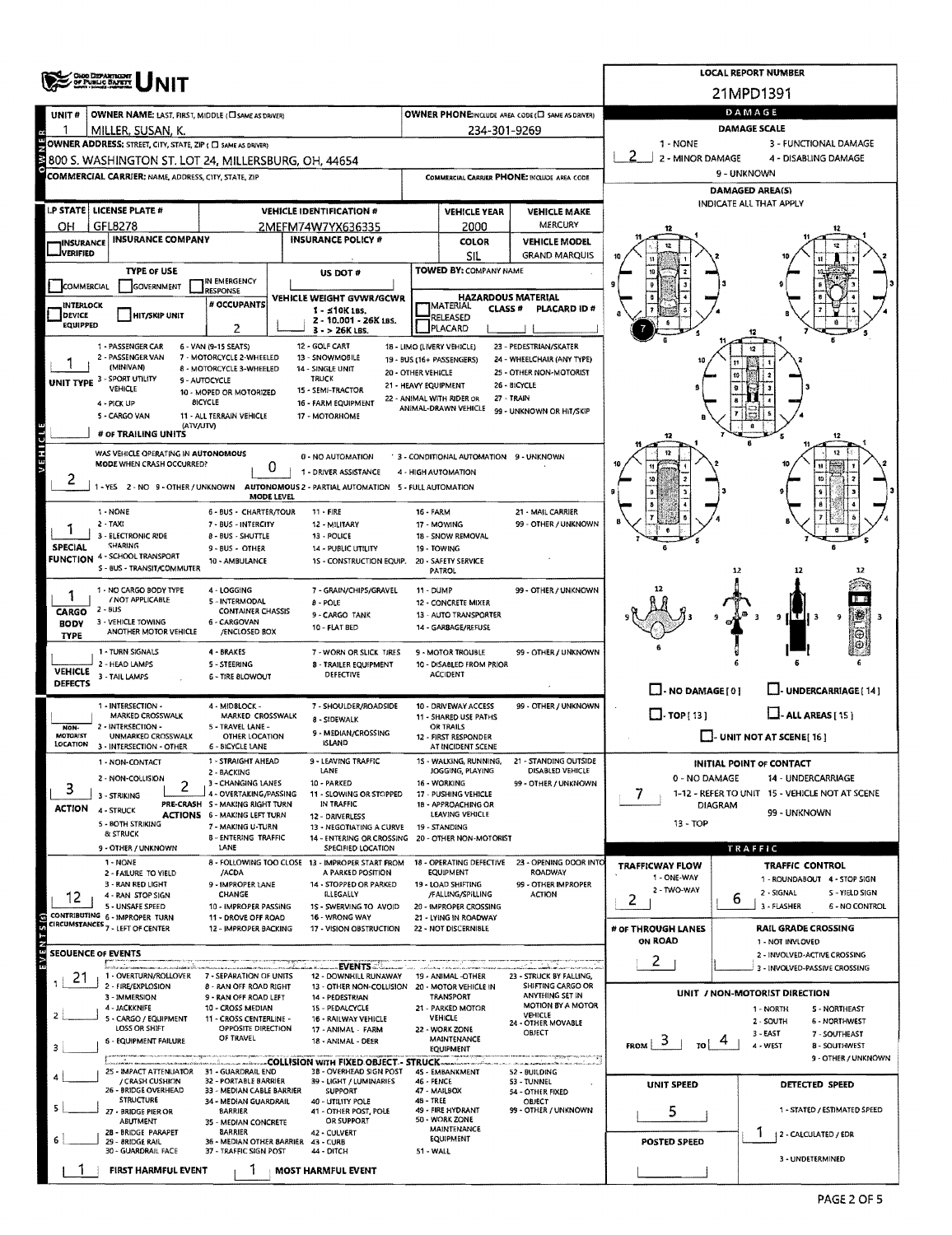|                                   |                                                                          |                                                           |                                                                                       |                      |                                                   |                                                       |                               | <b>LOCAL REPORT NUMBER</b>                                         |
|-----------------------------------|--------------------------------------------------------------------------|-----------------------------------------------------------|---------------------------------------------------------------------------------------|----------------------|---------------------------------------------------|-------------------------------------------------------|-------------------------------|--------------------------------------------------------------------|
|                                   | OHOO DISPARTINGANT                                                       |                                                           |                                                                                       |                      |                                                   |                                                       |                               | 21MPD1391                                                          |
|                                   |                                                                          |                                                           |                                                                                       |                      |                                                   |                                                       |                               | DAMAGE                                                             |
| UNIT#                             | OWNER NAME: LAST, FIRST, MIDDLE (CI SAME AS DRIVER)<br>MILLER, SUSAN, K. |                                                           |                                                                                       |                      | 234-301-9269                                      | OWNER PHONE: INCLUDE AREA CODE (L) SAME AS DRIVER)    |                               | DAMAGE SCALE                                                       |
|                                   | OWNER ADDRESS; STREET, CITY, STATE, ZIP ( O SAME AS DRIVER)              |                                                           |                                                                                       |                      |                                                   |                                                       | 1 - NONE                      | 3 - FUNCTIONAL DAMAGE                                              |
|                                   | 800 S. WASHINGTON ST. LOT 24, MILLERSBURG, OH, 44654                     |                                                           |                                                                                       |                      |                                                   |                                                       | 2 - MINOR DAMAGE              | 4 - DISABLING DAMAGE                                               |
|                                   | <b>COMMERCIAL CARRIER: NAME, ADDRESS, CITY, STATE, ZIP</b>               |                                                           |                                                                                       |                      |                                                   | COMMERCIAL CARRIER PHONE: INCLUDE AREA CODE           |                               | 9 - UNKNOWN                                                        |
|                                   |                                                                          |                                                           |                                                                                       |                      |                                                   |                                                       |                               | <b>DAMAGED AREA(S)</b>                                             |
|                                   | LP STATE   LICENSE PLATE #                                               |                                                           | <b>VEHICLE IDENTIFICATION #</b>                                                       |                      | <b>VEHICLE YEAR</b>                               | <b>VEHICLE MAKE</b>                                   |                               | INDICATE ALL THAT APPLY                                            |
| ΟН                                | GFL8278                                                                  |                                                           | 2MEFM74W7YX636335                                                                     |                      | 2000                                              | MERCURY                                               |                               |                                                                    |
| <b>INSURANCE</b>                  | <b>INSURANCE COMPANY</b>                                                 |                                                           | <b>INSURANCE POLICY #</b>                                                             |                      | COLOR                                             | <b>VEHICLE MODEL</b>                                  |                               |                                                                    |
| <b>JVERIFIED</b>                  |                                                                          |                                                           |                                                                                       |                      | <b>SIL</b>                                        | <b>GRAND MARQUIS</b>                                  |                               |                                                                    |
| <b>COMMERCIAL</b>                 | <b>TYPE OF USE</b><br><b>GOVERNMENT</b>                                  | IN EMERGENCY                                              | US DOT #                                                                              |                      | <b>TOWED BY: COMPANY NAME</b>                     |                                                       |                               |                                                                    |
|                                   |                                                                          | <b>RESPONSE</b>                                           | VEHICLE WEIGHT GVWR/GCWR                                                              |                      | <b>HAZARDOUS MATERIAL</b>                         |                                                       |                               |                                                                    |
| <b>INTERLOCK</b><br><b>DEVICE</b> | <b>HIT/SKIP UNIT</b>                                                     | # OCCUPANTS                                               | $1 - 510K$ Las.<br>2 - 10.001 - 26K LBS.                                              |                      | <b>MATERIAL</b><br><b>CLASS #</b><br>RELEASED     | PLACARD ID#                                           |                               |                                                                    |
| <b>EQUIPPED</b>                   |                                                                          | 2                                                         | $3 - 26K$ LBS.                                                                        |                      | PLACARD                                           |                                                       |                               |                                                                    |
|                                   | 1 - PASSENGER CAR<br>2 - PASSENGER VAN                                   | 6 - VAN (9-15 SEATS)                                      | 12 - GOLF CART                                                                        |                      | 18 - LIMO (LIVERY VEHICLE)                        | 23 - PEDESTRIAN/SKATER                                |                               |                                                                    |
|                                   | (MINIVAN)                                                                | 7 - MOTORCYCLE 2-WHEELED<br>8 - MOTORCYCLE 3-WHEELED      | 13 - SNOWMOBILE<br>14 - SINGLE UNIT                                                   | 20 - OTHER VEHICLE   | 19 - BUS (16+ PASSENGERS)                         | 24 - WHEELCHAIR (ANY TYPE)<br>25 - OTHER NON-MOTORIST |                               |                                                                    |
| UNIT TYPE 3                       | - SPORT UTILITY<br>VEHIQE                                                | 9 - AUTOCYCLE                                             | <b>TRUCK</b><br>15 - SEMI-TRACTOR                                                     | 21 - HEAVY EQUIPMENT |                                                   | 26 - BICYCLE                                          |                               |                                                                    |
|                                   | 4 - PICK UP                                                              | 10 - MOPED OR MOTORIZED<br><b>BICYCLE</b>                 | 16 - FARM EQUIPMENT                                                                   |                      | 22 - ANIMAL WITH RIDER OR<br>ANIMAL-DRAWN VEHICLE | 27 - TRAIN                                            |                               |                                                                    |
|                                   | 5 - CARGO VAN                                                            | 11 - ALL TERRAIN VEHICLE                                  | 17 - MOTORHOME                                                                        |                      |                                                   | 99 - UNKNOWN OR HIT/SKIP                              |                               |                                                                    |
|                                   | (ATV/UTV)<br># OF TRAILING UNITS                                         |                                                           |                                                                                       |                      |                                                   |                                                       |                               |                                                                    |
| VEHICLE                           | WAS VEHICLE OPERATING IN AUTONOMOUS                                      |                                                           | 0 - NO AUTOMATION                                                                     |                      | ' 3 - CONDITIONAL AUTOMATION 9 - UNKNOWN          |                                                       |                               | 12                                                                 |
|                                   | MODE WHEN CRASH OCCURRED?                                                | 0                                                         | 1 - DRIVER ASSISTANCE                                                                 |                      | 4 - HIGH AUTOMATION                               |                                                       |                               |                                                                    |
| 2                                 |                                                                          |                                                           | -YES 2 - NO 9 - OTHER / UNKNOWN AUTONOMOUS 2 - PARTIAL AUTOMATION 5 - FULL AUTOMATION |                      |                                                   |                                                       |                               |                                                                    |
|                                   |                                                                          | MODE LEVEL                                                |                                                                                       |                      |                                                   | 21 - MAIL CARRIER                                     |                               |                                                                    |
|                                   | 1 - NONE<br>$2 - TAXI$                                                   | 6 - BUS - CHARTER/TOUR<br>7 - BUS - INTERCITY             | 11 - FIRE<br>12 - MILITARY                                                            | <b>16 - FARM</b>     | 17 - MOWING                                       | 99 - OTHER / UNKNOWN                                  |                               |                                                                    |
|                                   | 3 - ELECTRONIC RIDE                                                      | 8 - BUS - SHUTTLE                                         | 13 - POLICE                                                                           |                      | 18 - SNOW REMOVAL                                 |                                                       |                               |                                                                    |
| <b>SPECIAL</b>                    | SHARING<br><b>FUNCTION 4 - SCHOOL TRANSPORT</b>                          | 9 - BUS - OTHER<br>10 - AMBULANCE                         | <b>14 - PUBLIC UTILITY</b><br>1S - CONSTRUCTION EQUIP.                                |                      | 19 - TOWING<br>20 - SAFETY SERVICE                |                                                       |                               |                                                                    |
|                                   | S - BUS - TRANSIT/COMMUTER                                               |                                                           |                                                                                       |                      | <b>PATROL</b>                                     |                                                       |                               | 12<br>12                                                           |
|                                   | 1 - NO CARGO BODY TYPE                                                   | 4 - LOGGING                                               | 7 - GRAIN/CHIPS/GRAVEL                                                                | $11 - DUMP$          |                                                   | 99 - OTHER / UNKNOWN                                  |                               |                                                                    |
| CARGO                             | / NOT APPLICABLE<br>2 - BUS                                              | 5 - INTERMODAL<br><b>CONTAINER CHASSIS</b>                | $8 - POLE$                                                                            |                      | 12 - CONCRETE MIXER                               |                                                       |                               |                                                                    |
| <b>BODY</b>                       | 3 - VEHICLE TOWING                                                       | 6 - CARGOVAN                                              | 9-CARGO TANK<br>10 - FLAT BED                                                         |                      | 13 - AUTO TRANSPORTER<br>14 - GARBAGE/REFUSE      |                                                       |                               | 9                                                                  |
| <b>TYPE</b>                       | ANOTHER MOTOR VEHICLE                                                    | /ENCLOSED BOX                                             |                                                                                       |                      |                                                   |                                                       |                               |                                                                    |
|                                   | 1 - TURN SIGNALS<br>2 - HEAD LAMPS                                       | 4 - BRAKES<br>5 - STEERING                                | 7 - WORN OR SLICK TIRES<br>8 - TRAILER EQUIPMENT                                      |                      | 9 - MOTOR TROUBLE<br>10 - DISABLED FROM PRIOR     | 99 - OTHER / UNKNOWN                                  |                               |                                                                    |
| <b>VEHICLE</b><br><b>DEFECTS</b>  | 3 - TAIL LAMPS                                                           | <b>6 - TIRE BLOWOUT</b>                                   | DEFECTIVE                                                                             |                      | <b>ACCIDENT</b>                                   |                                                       |                               |                                                                    |
|                                   |                                                                          |                                                           |                                                                                       |                      |                                                   |                                                       | $\Box$ - NO DAMAGE [ 0 ]      | J- UNDERCARRIAGE [ 14 ]                                            |
|                                   | 1 - INTERSECTION -<br>MARKED CROSSWALK                                   | 4 - MIDBLOCK -<br>MARKED CROSSWALK                        | 7 - SHOULDER/ROADSIDE                                                                 |                      | 10 - DRIVEWAY ACCESS<br>11 - SHARED USE PATHS     | 99 - OTHER / UNKNOWN                                  | $\Box$ - TOP(13)              | $\Box$ - ALL AREAS [ 15 ]                                          |
| NON-<br>MOTORIST                  | 2 - INTERSECTION -<br>UNMARKED CROSSWALK                                 | 5 - TRAVEL LANE -                                         | 8 - SIDEWALK<br>9 - MEDIAN/CROSSING                                                   |                      | <b>OR TRAILS</b>                                  |                                                       |                               |                                                                    |
| LOCATION                          | 3 - INTERSECTION - OTHER                                                 | OTHER LOCATION<br>6 - BICYCLE LANE                        | <b>ISLAND</b>                                                                         |                      | 12 - FIRST RESPONDER<br>AT INCIDENT SCENE         |                                                       |                               | $\Box$ - UNIT NOT AT SCENE[16]                                     |
|                                   | 1 - NON-CONTACT                                                          | 1 - STRAIGHT AHEAD                                        | 9 - LEAVING TRAFFIC                                                                   |                      | 15 - WALKING, RUNNING,                            | 21 - STANDING OUTSIDE                                 |                               | <b>INITIAL POINT OF CONTACT</b>                                    |
|                                   | 2 - NON-COLLISION                                                        | 2 - BACKING<br>3 - CHANGING LANES                         | LANE<br>10 - PARKED                                                                   |                      | JOGGING, PLAYING<br>16 - WORKING                  | DISABLED VEHICLE<br>99 - OTHER / UNKNOWN              | 0 - NO DAMAGE                 | 14 - UNDERCARRIAGE                                                 |
| з                                 | 3 - STRIKING                                                             | 4 - OVERTAKING/PASSING<br>PRE-CRASH S - MAKING RIGHT TURN | 11 - SLOWING OR STOPPED<br>IN TRAFFIC                                                 |                      | 17 - PUSHING VEHICLE<br>18 - APPROACHING OR       |                                                       | 7                             | 1-12 - REFER TO UNIT 15 - VEHICLE NOT AT SCENE<br><b>DIAGRAM</b>   |
| <b>ACTION</b>                     | 4 - STRUCK                                                               | <b>ACTIONS 6 - MAKING LEFT TURN</b>                       | 12 - DRIVERLESS                                                                       |                      | LEAVING VEHICLE                                   |                                                       |                               | 99 - UNKNOWN                                                       |
|                                   | 5 - BOTH STRIKING<br>& STRUCK                                            | 7 - MAKING U-TURN<br>8 - ENTERING TRAFFIC                 | 13 - NEGOTIATING A CURVE<br>14 - ENTERING OR CROSSING 20 - OTHER NON-MOTORIST         |                      | 19 - STANDING                                     |                                                       | $13 - TOP$                    |                                                                    |
|                                   | 9 - OTHER / UNKNOWN                                                      | LANE                                                      | SPECIFIED LOCATION                                                                    |                      |                                                   |                                                       |                               | TRAFFIC                                                            |
|                                   | 1 - NONE<br>2 - FAILURE TO YIELD                                         | /ACDA                                                     | 8 - FOLLOWING TOO CLOSE 13 - IMPROPER START FROM<br>A PARKED POSITION                 |                      | 18 - OPERATING DEFECTIVE<br>EQUIPMENT             | 23 - OPENING DOOR INTO<br>ROADWAY                     | <b>TRAFFICWAY FLOW</b>        | TRAFFIC CONTROL                                                    |
|                                   | 3 - RAN RED LIGHT                                                        | 9 - IMPROPER LANE                                         | 14 - STOPPED OR PARKED                                                                |                      | 19 - LOAD SHIFTING                                | 99 - OTHER IMPROPER                                   | 1 - ONE-WAY<br>2 - TWO-WAY    | 1 - ROUNDABOUT 4 - STOP SIGN                                       |
| 12                                | 4 RAN STOP SIGN<br>5 - UNSAFE SPEED                                      | CHANGE<br>10 - IMPROPER PASSING                           | ILLEGALLY<br>1S - SWERVING TO AVOID                                                   |                      | /FALLING/SPILLING<br>20 - IMPROPER CROSSING       | ACTION                                                | 2                             | 2 - SIGNAL<br>S - YIELD SIGN<br>6<br>3 - FLASHER<br>6 - NO CONTROL |
|                                   | CONTRIBUTING 6 - IMPROPER TURN                                           | 11 - DROVE OFF ROAD                                       | 16 - WRONG WAY                                                                        |                      | 21 - LYING IN ROADWAY                             |                                                       |                               |                                                                    |
|                                   | CIRCUMSTANCES <sub>7 - LEFT OF CENTER</sub>                              | 12 - IMPROPER BACKING                                     | 17 - VISION OBSTRUCTION                                                               |                      | 22 - NOT DISCERNIBLE                              |                                                       | # OF THROUGH LANES<br>ON ROAD | <b>RAIL GRADE CROSSING</b><br>1 - NOT INVLOVED                     |
|                                   | SEOUENCE OF EVENTS                                                       |                                                           |                                                                                       |                      |                                                   |                                                       |                               | 2 - INVOLVED-ACTIVE CROSSING                                       |
| 21                                | 1 - OVERTURN/ROLLOVER                                                    | 7 - SEPARATION OF UNITS                                   | ∴EVENTS ≈े<br>12 - DOWNHILL RUNAWAY                                                   |                      | 19 - ANIMAL -OTHER                                | 23 - STRUCK BY FALLING,                               | 2                             | 3 - INVOLVED-PASSIVE CROSSING                                      |
|                                   | 2 - FIRE/EXPLOSION                                                       | 8 - RAN OFF ROAD RIGHT                                    | 13 - OTHER NON-COLLISION 20 - MOTOR VEHICLE IN                                        |                      |                                                   | SHIFTING CARGO OR                                     |                               | UNIT / NON-MOTORIST DIRECTION                                      |
|                                   | 3 - IMMERSION<br>4 - JACKKNIFE                                           | 9 - RAN OFF ROAD LEFT<br>10 - CROSS MEDIAN                | 14 - PEDESTRIAN<br>15 - PEDALCYCLE                                                    |                      | TRANSPORT<br>21 - PARKED MOTOR                    | ANYTHING SET IN<br>MOTION BY A MOTOR                  |                               | 1 - NORTH<br><b>5 - NORTHEAST</b>                                  |
|                                   | 5 - CARGO / EQUIPMENT<br>LOSS OR SHIFT                                   | 11 - CROSS CENTERLINE -<br>OPPOSITE DIRECTION             | 16 - RAILWAY VEHICLE<br>17 - ANIMAL - FARM                                            |                      | <b>VEHICLE</b><br>22 - WORK ZONE                  | VEHICLE<br>24 - OTHER MOVABLE                         |                               | 2 - SOUTH<br><b>6 - NORTHWEST</b>                                  |
|                                   | <b>6 - EQUIPMENT FAILURE</b>                                             | OF TRAVEL                                                 | 18 - ANIMAL - DEER                                                                    |                      | MAINTENANCE                                       | OBJECT                                                | 5<br><b>FROM</b><br>10        | 3 - EAST<br>7 - SOUTHEAST<br>4 - WEST<br>8 - SOUTHWEST             |
|                                   |                                                                          |                                                           | COLLISION WITH FIXED OBJECT - STRUCK                                                  |                      | EQUIPMENT                                         | para ang                                              |                               | 9 - OTHER / UNKNOWN                                                |
|                                   | 25 - IMPACT ATTENUATOR 31 - GUARDRAIL END<br>/ CRASH CUSHION             | 32 - PORTABLE BARRIER                                     | 38 - OVERHEAD SIGN POST                                                               |                      | 45 - EMBANKMENT                                   | 52 - BUILDING                                         |                               |                                                                    |
|                                   | 26 - BRIDGE OVERHEAD                                                     | 33 - MEDIAN CABLE BARRIER                                 | 39 - LIGHT / LUMINARIES<br><b>SUPPORT</b>                                             | 46 - FENCE           | 47 - MAILBOX                                      | 53 - TUNNEL<br>54 - OTHER FIXED                       | <b>UNIT SPEED</b>             | DETECTED SPEED                                                     |
|                                   | <b>STRUCTURE</b><br>27 - BRIDGE PIER OR                                  | 34 - MEDIAN GUARDRAIL<br><b>BARRIER</b>                   | 40 - UTILITY POLE<br>41 - OTHER POST, POLE                                            | 48 - TREE            | 49 - FIRE HYDRANT                                 | OBJECT<br>99 - OTHER / UNKNOWN                        | 5.                            | 1 - STATED / ESTIMATED SPEED                                       |
|                                   | ABUTMENT<br>28 - BRIDGE PARAPET                                          | 35 - MEDIAN CONCRETE<br><b>BARRIER</b>                    | OR SUPPORT                                                                            |                      | 50 - WORK ZONE<br>MAINTENANCE                     |                                                       |                               |                                                                    |
|                                   | 29 - 8RIDGE RAIL                                                         | 36 - MEDIAN OTHER BARRIER 43 - CURB                       | 42 - CULVERT                                                                          |                      | EQUIPMENT                                         |                                                       | POSTED SPEED                  | 12 - CALCULATED / EDR                                              |
|                                   | 30 - GUARDRAIL FACE                                                      | 37 - TRAFFIC SIGN POST                                    | 44 - DITCH                                                                            | 51 - WALL            |                                                   |                                                       |                               | 3 - UNDETERMINED                                                   |
|                                   | FIRST HARMFUL EVENT                                                      |                                                           | <b>MOST HARMFUL EVENT</b>                                                             |                      |                                                   |                                                       |                               |                                                                    |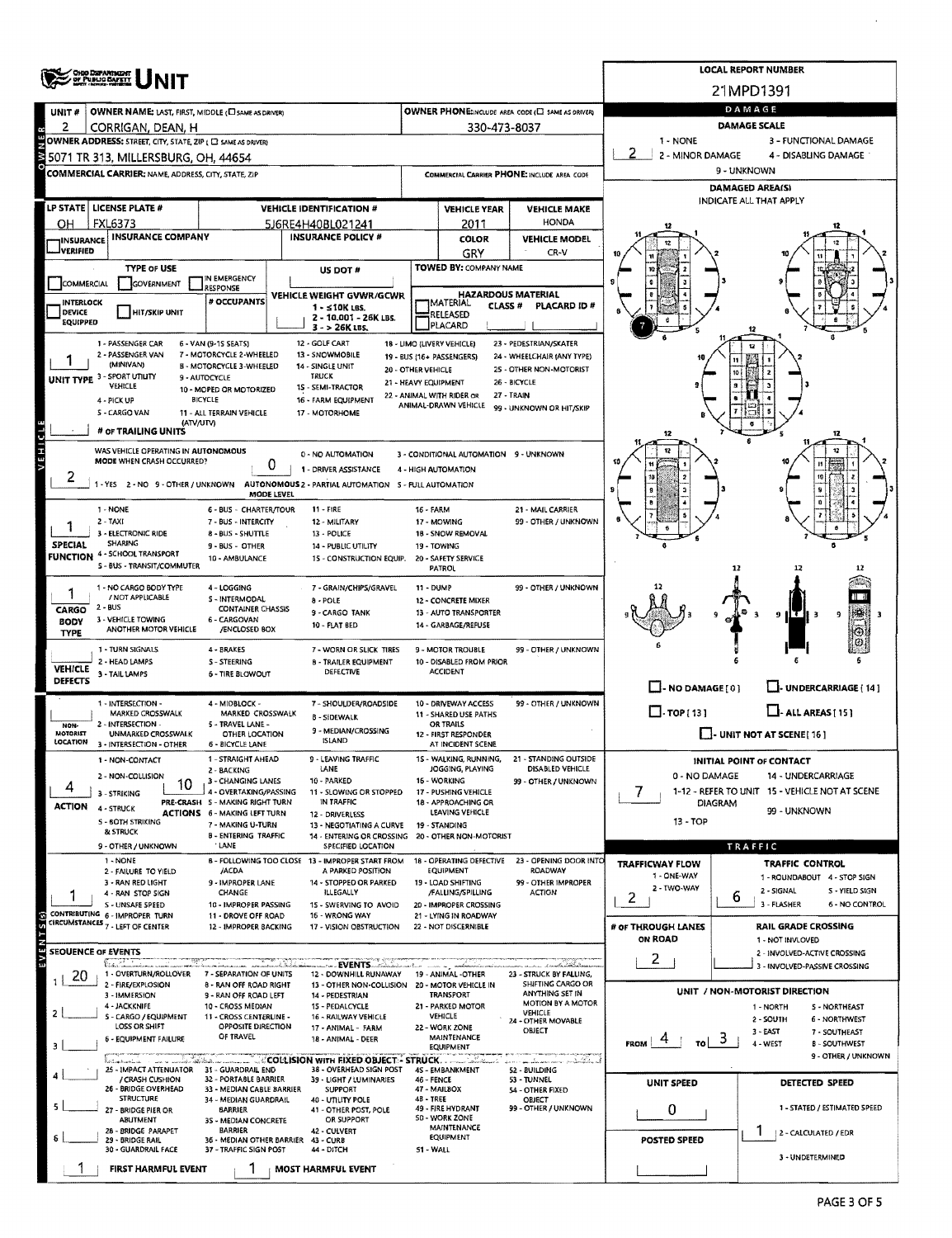|                             | <b>CHIO DSPANTIKENT</b>                                            |                                                                        |                                                                                          |                                            |                                                   |                                                       |                                      | <b>LOCAL REPORT NUMBER</b>                                         |
|-----------------------------|--------------------------------------------------------------------|------------------------------------------------------------------------|------------------------------------------------------------------------------------------|--------------------------------------------|---------------------------------------------------|-------------------------------------------------------|--------------------------------------|--------------------------------------------------------------------|
|                             |                                                                    |                                                                        |                                                                                          |                                            |                                                   |                                                       |                                      | 21MPD1391                                                          |
| UNIT #                      | OWNER NAME: LAST, FIRST, MIDDLE (C) SAME AS DRIVER)                |                                                                        |                                                                                          |                                            |                                                   | OWNER PHONE:INCLUDE AREA CODE (E) SAME AS DRIVER)     |                                      | DAMAGE                                                             |
| 2                           | CORRIGAN, DEAN, H                                                  |                                                                        |                                                                                          |                                            | 330-473-8037                                      |                                                       |                                      | <b>DAMAGE SCALE</b>                                                |
|                             | OWNER ADDRESS: STREET, CITY, STATE, ZIP ( C SAME AS DRIVER)        |                                                                        |                                                                                          |                                            |                                                   |                                                       | 1 - NONE                             | 3 - FUNCTIONAL DAMAGE                                              |
|                             | 5071 TR 313, MILLERSBURG, OH, 44654                                |                                                                        |                                                                                          |                                            |                                                   |                                                       | 2 - MINOR DAMAGE                     | 4 - DISABLING DAMAGE<br>9 - UNKNOWN                                |
|                             | <b>COMMERCIAL CARRIER: NAME, ADDRESS, CITY, STATE, ZIP</b>         |                                                                        |                                                                                          |                                            |                                                   | COMMERCIAL CARRIER PHONE: INCLUDE AREA CODE           |                                      | <b>DAMAGED AREA(S)</b>                                             |
|                             |                                                                    |                                                                        |                                                                                          |                                            |                                                   |                                                       |                                      | INDICATE ALL THAT APPLY                                            |
| ΟН                          | LP STATE   LICENSE PLATE #<br><b>FXL6373</b>                       |                                                                        | <b>VEHICLE IDENTIFICATION #</b><br>5J6RE4H40BL021241                                     |                                            | <b>VEHICLE YEAR</b><br>2011                       | <b>VEHICLE MAKE</b><br>HONDA                          |                                      |                                                                    |
|                             | INSURANCE INSURANCE COMPANY                                        |                                                                        | <b>INSURANCE POLICY #</b>                                                                |                                            | <b>COLOR</b>                                      | <b>VEHICLE MODEL</b>                                  |                                      |                                                                    |
| <b>JVERIFIED</b>            |                                                                    |                                                                        |                                                                                          |                                            | GRY                                               | CR-V                                                  |                                      |                                                                    |
|                             | <b>TYPE OF USE</b>                                                 | IN EMERGENCY                                                           | US DOT #                                                                                 |                                            | TOWED BY: COMPANY NAME                            |                                                       |                                      |                                                                    |
| COMMERCIAL                  | GOVERNMENT                                                         | <b>RESPONSE</b>                                                        | VEHICLE WEIGHT GVWR/GCWR                                                                 |                                            |                                                   | <b>HAZARDOUS MATERIAL</b>                             |                                      |                                                                    |
| INTERLOCK<br><b>DEVICE</b>  | <b>HIT/SKIP UNIT</b>                                               | # OCCUPANTS                                                            | $1 - 510K$ LBS.                                                                          |                                            | <b>IMATERIAL</b><br><b>CLASS #</b><br>RELEASED    | PLACARD ID#                                           |                                      |                                                                    |
| <b>EQUIPPED</b>             |                                                                    |                                                                        | 2 - 10.001 - 26K LBS.<br>3 - > 26K LBS.                                                  |                                            | PLACARD                                           |                                                       |                                      |                                                                    |
|                             | 1 - PASSENGER CAR                                                  | 6 - VAN (9-15 SEATS)                                                   | 12 - GOLF CART                                                                           |                                            | 18 - LIMO (LIVERY VEHICLE)                        | 23 - PEDESTRIAN/SKATER                                |                                      |                                                                    |
|                             | 2 - PASSENGER VAN<br>(MINIVAN)                                     | 7 - MOTORCYCLE 2-WHEELED<br><b>B - MOTORCYCLE 3-WHEELED</b>            | 13 - SNOWMOBILE<br>14 - SINGLE UNIT                                                      |                                            | 19 - BUS (16+ PASSENGERS)                         | 24 - WHEELCHAIR (ANY TYPE)<br>25 - OTHER NON-MOTORIST |                                      |                                                                    |
|                             | UNIT TYPE 3 - SPORT UTILITY<br>VEHICLE                             | 9 - AUTOCYCLE                                                          | TRUCK<br><b>15 - SEMI-TRACTOR</b>                                                        | 20 - OTHER VEHICLE<br>21 - HEAVY EQUIPMENT |                                                   | 26 - BICYCLE                                          |                                      |                                                                    |
|                             | 4 - PICK UP                                                        | 10 - MOPED OR MOTORIZED<br><b>BICYCLE</b>                              | 16 - FARM EQUIPMENT                                                                      |                                            | 22 - ANIMAL WITH RIDER OR<br>ANIMAL-DRAWN VEHICLE | 27 - TRAIN                                            |                                      |                                                                    |
|                             | S - CARGO VAN<br>(ATV/UTV)                                         | 11 - ALL TERRAIN VEHICLE                                               | 17 - MOTORHOME                                                                           |                                            |                                                   | 99 - UNKNOWN OR HIT/SKIP                              |                                      |                                                                    |
| d                           | # OF TRAILING UNITS                                                |                                                                        |                                                                                          |                                            |                                                   |                                                       | 12                                   |                                                                    |
| VEH!                        | WAS VEHICLE OPERATING IN AUTONOMOUS                                |                                                                        | 0 - NO AUTOMATION                                                                        |                                            | 3 - CONDITIONAL AUTOMATION 9 - UNKNOWN            |                                                       |                                      |                                                                    |
|                             | MODE WHEN CRASH OCCURRED?                                          | 0                                                                      | 1 - DRIVER ASSISTANCE                                                                    |                                            | 4 HIGH AUTOMATION                                 |                                                       |                                      |                                                                    |
| ∠                           |                                                                    | MODE LEVEL                                                             | 1 - YES 2 - NO 9 - OTHER / UNKNOWN AUTONOMOUS 2 - PARTIAL AUTOMATION 5 - FULL AUTOMATION |                                            |                                                   |                                                       |                                      |                                                                    |
|                             | 1 - NONE                                                           | <b>6 - BUS - CHARTER/TOUR</b>                                          | $11 - FIRE$                                                                              | 16 - FARM                                  |                                                   | 21 - MAIL CARRIER                                     |                                      |                                                                    |
|                             | $2 - TAXI$                                                         | 7 - BUS - INTERCITY                                                    | 12 - MILITARY                                                                            |                                            | 17 - MOWING                                       | 99 - OTHER / UNKNOWN                                  |                                      |                                                                    |
| <b>SPECIAL</b>              | 3 - ELECTRONIC RIDE<br>SHARING                                     | 8 - BUS - SHUTTLE<br>9 - BUS - OTHER                                   | 13 - POLICE<br>14 - PUBLIC UTILITY                                                       |                                            | 18 - SNOW REMOVAL<br>19 - TOWING                  |                                                       |                                      |                                                                    |
| <b>FUNCTION</b>             | 4 - SCHOOL TRANSPORT<br>S - BUS - TRANSIT/COMMUTER                 | 10 - AMBULANCE                                                         | 15 - CONSTRUCTION EQUIP.                                                                 |                                            | 20 - SAFETY SERVICE                               |                                                       |                                      |                                                                    |
|                             |                                                                    |                                                                        |                                                                                          |                                            | PATROL                                            |                                                       |                                      | 12                                                                 |
|                             | 1 NO CARGO BODY TYPE<br>/ NOT APPLICABLE                           | 4 - LOGGING<br>S - INTERMODAL                                          | 7 - GRAIN/CHIPS/GRAVEL<br>8 - POLE                                                       | 11 - DUMP                                  | 12 - CONCRETE MIXER                               | 99 - OTHER / UNKNOWN                                  |                                      |                                                                    |
| CARGO                       | 2 - BUS                                                            | <b>CONTAINER CHASSIS</b>                                               | 9 - CARGO TANK                                                                           |                                            | 13 - AUTO TRANSPORTER                             |                                                       |                                      | 1 T I<br>9                                                         |
| <b>BODY</b><br><b>TYPE</b>  | 3 - VEHICLE TOWING<br>ANOTHER MOTOR VEHICLE                        | 6 - CARGOVAN<br>/ENCLOSED BOX                                          | 10 - FLAT BED                                                                            |                                            | 14 - GARBAGE/REFUSE                               |                                                       |                                      |                                                                    |
|                             | 1 - TURN SIGNALS                                                   | 4 - BRAKES                                                             | 7 - WORN OR SLICK TIRES                                                                  |                                            | <b>9 - MOTOR TROUBLE</b>                          | 99 - OTHER / UNKNOWN                                  |                                      |                                                                    |
| <b>VEHICLE</b>              | 2 - HEAD LAMPS<br>3 - TAIL LAMPS                                   | <b>S-STEERING</b><br><b>6 - TIRE BLOWOUT</b>                           | <b>B - TRAILER EQUIPMENT</b><br>DEFECTIVE                                                |                                            | 10 - DISABLED FROM PRIOR<br><b>ACCIDENT</b>       |                                                       |                                      |                                                                    |
| <b>DEFECTS</b>              |                                                                    |                                                                        |                                                                                          |                                            |                                                   |                                                       | $\Box$ - NO DAMAGE $[0]$             | J- UNDERCARRIAGE   14 ]                                            |
|                             | 1 - INTERSECTION -                                                 | 4 - MIDBLOCK -                                                         | 7 - SHOULDER/ROADSIDE                                                                    |                                            | 10 - DRIVEWAY ACCESS                              | 99 - OTHER / UNKNOWN                                  |                                      |                                                                    |
| <b>NON-</b>                 | <b>MARKED CROSSWALK</b><br>2 - INTERSECTION                        | MARKED CROSSWALK<br>5 - TRAVEL LANE -                                  | <b>B-SIDEWALK</b>                                                                        |                                            | 11 - SHARED USE PATHS<br>OR TRAILS                |                                                       | $\Box$ TOP [13]                      | $\Box$ - ALL AREAS [ 15 ]                                          |
| <b>MOTORIST</b><br>LOCATION | UNMARKED CROSSWALK<br>3 - INTERSECTION - OTHER                     | OTHER LOCATION<br>6 - BICYCLE LANE                                     | 9 - MEDIAN/CROSSING<br>ISLAND                                                            |                                            | 12 - FIRST RESPONDER<br>AT INCIDENT SCENE         |                                                       |                                      | $\Box$ - UNIT NOT AT SCENE [16]                                    |
|                             | 1 - NON-CONTACT                                                    | 1 - STRAIGHT AHEAD                                                     | 9 - LEAVING TRAFFIC                                                                      |                                            | 15 - WALKING, RUNNING,                            | 21 - STANDING OUTSIDE                                 |                                      | INITIAL POINT OF CONTACT                                           |
|                             | 2 - NON-COLLISION                                                  | 2 - BACKING<br>3 - CHANGING LANES                                      | LANE<br>10 - PARKED                                                                      |                                            | JOGGING, PLAYING<br>16 - WORKING                  | DISABLED VEHICLE<br>99 - OTHER / UNKNOWN              | 0 - NO DAMAGE                        | 14 - UNDERCARRIAGE                                                 |
| 4                           | 10<br>3 - STRIKING                                                 | 4 - OVERTAKING/PASSING                                                 | 11 - SLOWING OR STOPPED                                                                  |                                            | 17 - PUSHING VEHICLE                              |                                                       | 7                                    | 1-12 - REFER TO UNIT 15 - VEHICLE NOT AT SCENE                     |
| ACTION                      | 4 - STRUCK                                                         | PRE-CRASH 5 - MAKING RIGHT TURN<br><b>ACTIONS 6 - MAKING LEFT TURN</b> | IN TRAFFIC<br>12 - DRIVERLESS                                                            |                                            | 18 - APPROACHING OR<br>LEAVING VEHICLE            |                                                       | <b>DIAGRAM</b>                       | 99 - UNKNOWN                                                       |
|                             | <b>5 - BOTH STRIKING</b><br>& STRUCK                               | 7 - MAKING U-TURN<br><b>B - ENTERING TRAFFIC</b>                       | 13 - NEGOTIATING A CURVE<br>14 - ENTERING OR CROSSING 20 - OTHER NON-MOTORIST            |                                            | 19 - STANDING                                     |                                                       | 13 - TOP                             |                                                                    |
|                             | 9 - OTHER / UNKNOWN                                                | LANE                                                                   | SPECIFIED LOCATION                                                                       |                                            |                                                   |                                                       |                                      | TRAFFIC                                                            |
|                             | 1 - NONE<br>2 - FAILURE TO YIELD                                   | /ACDA                                                                  | B - FOLLOWING TOO CLOSE 13 - IMPROPER START FROM<br>A PARKED POSITION                    |                                            | 18 - OPERATING DEFECTIVE<br>EQUIPMENT             | 23 - OPENING DOOR INTO<br>ROADWAY                     | TRAFFICWAY FLOW                      | TRAFFIC CONTROL                                                    |
|                             | 3 - RAN RED LIGHT                                                  | 9 - IMPROPER LANE                                                      | 14 - STOPPED OR PARKED                                                                   |                                            | 19 - LOAD SHIFTING                                | 99 - OTHER IMPROPER                                   | 1 - ONE-WAY<br>2 - TWO-WAY           | 1 - ROUNDABOUT 4 - STOP SIGN                                       |
|                             | 4 - RAN STOP SIGN<br>S - UNSAFE SPEED                              | CHANGE<br>10 - IMPROPER PASSING                                        | ILLEGALLY<br>15 - SWERVING TO AVOID                                                      |                                            | /FALLING/SPILLING<br>20 - IMPROPER CROSSING       | <b>ACTION</b>                                         | 2                                    | 2 - SIGNAL<br>S - YIELD SIGN<br>6<br>3 - FLASHER<br>6 - NO CONTROL |
| $(5)$ $\overline{5}$        | CONTRIBUTING 6 - IMPROPER TURN<br>CIRCUMSTANCES 7 - LEFT OF CENTER | 11 - DROVE OFF ROAD                                                    | 16 - WRONG WAY                                                                           |                                            | 21 - LYING IN ROADWAY                             |                                                       |                                      |                                                                    |
|                             |                                                                    | 12 - IMPROPER BACKING                                                  | 17 - VISION OBSTRUCTION                                                                  |                                            | 22 - NOT DISCERNIBLE                              |                                                       | # OF THROUGH LANES<br><b>ON ROAD</b> | <b>RAIL GRADE CROSSING</b><br>1 - NOT INVLOVED                     |
|                             | SEOUENCE OF EVENTS                                                 |                                                                        |                                                                                          |                                            |                                                   |                                                       | 2                                    | 2 - INVOLVED-ACTIVE CROSSING                                       |
| -20                         | farit T<br>1 - OVERTURN/ROLLOVER                                   | 7 - SEPARATION OF UNITS                                                | <b>SALEVENTS</b><br>12 - DOWNHILL RUNAWAY                                                |                                            | 19 - ANIMAL -OTHER                                | ana indrindheadhana<br>23 - STRUCK BY FALLING,        |                                      | 3 - INVOLVED-PASSIVE CROSSING                                      |
|                             | 2 - FIRE/EXPLOSION<br>3 - IMMERSION                                | 8 - RAN OFF ROAD RIGHT<br>9 - RAN OFF ROAD LEFT                        | 13 - OTHER NON-COLLISION 20 - MOTOR VEHICLE IN<br>14 - PEDESTRIAN                        |                                            | TRANSPORT                                         | SHIFTING CARGO OR<br>ANYTHING SET IN                  |                                      | UNIT / NON-MOTORIST DIRECTION                                      |
|                             | 4 - JACKKNIFE                                                      | 10 - CROSS MEDIAN                                                      | 15 - PEDALCYCLE                                                                          |                                            | 21 - PARKED MOTOR<br>VEHICLE                      | MOTION BY A MOTOR<br>VEHICLE                          |                                      | 1 - NORTH<br>S - NORTHEAST                                         |
|                             | S - CARGO / EQUIPMENT<br>LOSS OR SHIFT                             | 11 - CROSS CENTERLINE -<br>OPPOSITE DIRECTION                          | 16 - RAILWAY VEHICLE<br>17 - ANIMAL - FARM                                               |                                            | 22 - WORK ZONE                                    | 24 - OTHER MOVABLE<br>OBJECT                          |                                      | 2 - SOUTH<br>6 - NORTHWEST<br>3 - EAST<br>7 - SOUTHEAST            |
| з                           | <b>6 - EQUIPMENT FAILURE</b>                                       | OF TRAVEL                                                              | 18 - ANIMAL - DEER                                                                       |                                            | MAINTENANCE<br><b>EQUIPMENT</b>                   |                                                       | <b>FROM</b>                          | 4 - WEST<br><b>B-SOUTHWEST</b>                                     |
|                             | and the considerable of the same company<br>kolmakarina.           |                                                                        | 38 - OVERHEAD SIGN POST                                                                  |                                            |                                                   | tuurismu omkatala ed                                  |                                      | 9 - OTHER / UNKNOWN                                                |
|                             | 25 - IMPACT ATTENUATOR 31 - GUARDRAIL END<br>/ CRASH CUSHION       | 32 - PORTABLE BARRIER                                                  | 39 - LIGHT / LUMINARIES                                                                  | 46 - FENCE                                 | 45 - EMBANKMENT                                   | 52 - BUILDING<br>53 - TUNNEL                          | <b>UNIT SPEED</b>                    | DETECTED SPEED                                                     |
|                             | 26 - BRIDGE OVERHEAD<br><b>STRUCTURE</b>                           | 33 - MEDIAN CABLE BARRIER<br>34 - MEDIAN GUARDRAIL                     | <b>SUPPORT</b><br>40 - UTILITY POLE                                                      | 4B-TREE                                    | 47 - MAILBOX                                      | 54 - OTHER FIXED<br>OBJECT                            |                                      |                                                                    |
|                             | 27 - BRIDGE PIER OR<br><b>ABUTMENT</b>                             | <b>BARRIER</b><br>35 - MEDIAN CONCRETE                                 | 41 - OTHER POST, POLE<br>OR SUPPORT                                                      |                                            | 49 - FIRE HYDRANT<br>50 - WORK ZONE               | 99 - OTHER / UNKNOWN                                  | 0                                    | 1 - STATED / ESTIMATED SPEED                                       |
|                             | 28 - BRIDGE PARAPET<br>29 - BRIDGE RAIL                            | <b>BARRIER</b><br>36 - MEDIAN OTHER BARRIER 43 - CURB                  | 42 - CULVERT                                                                             |                                            | MAINTENANCE<br><b>EQUIPMENT</b>                   |                                                       | POSTED SPEED                         | 2 - CALCULATED / EDR                                               |
|                             | 30 - GUARDRAIL FACE                                                | 37 - TRAFFIC SIGN POST                                                 | 44 - DITCH                                                                               | 51 - WALL                                  |                                                   |                                                       |                                      | 3 - UNDETERMINED                                                   |
|                             | FIRST HARMFUL EVENT                                                |                                                                        | <b>MOST HARMFUL EVENT</b>                                                                |                                            |                                                   |                                                       |                                      |                                                                    |

 $\hat{\mathbf{v}}$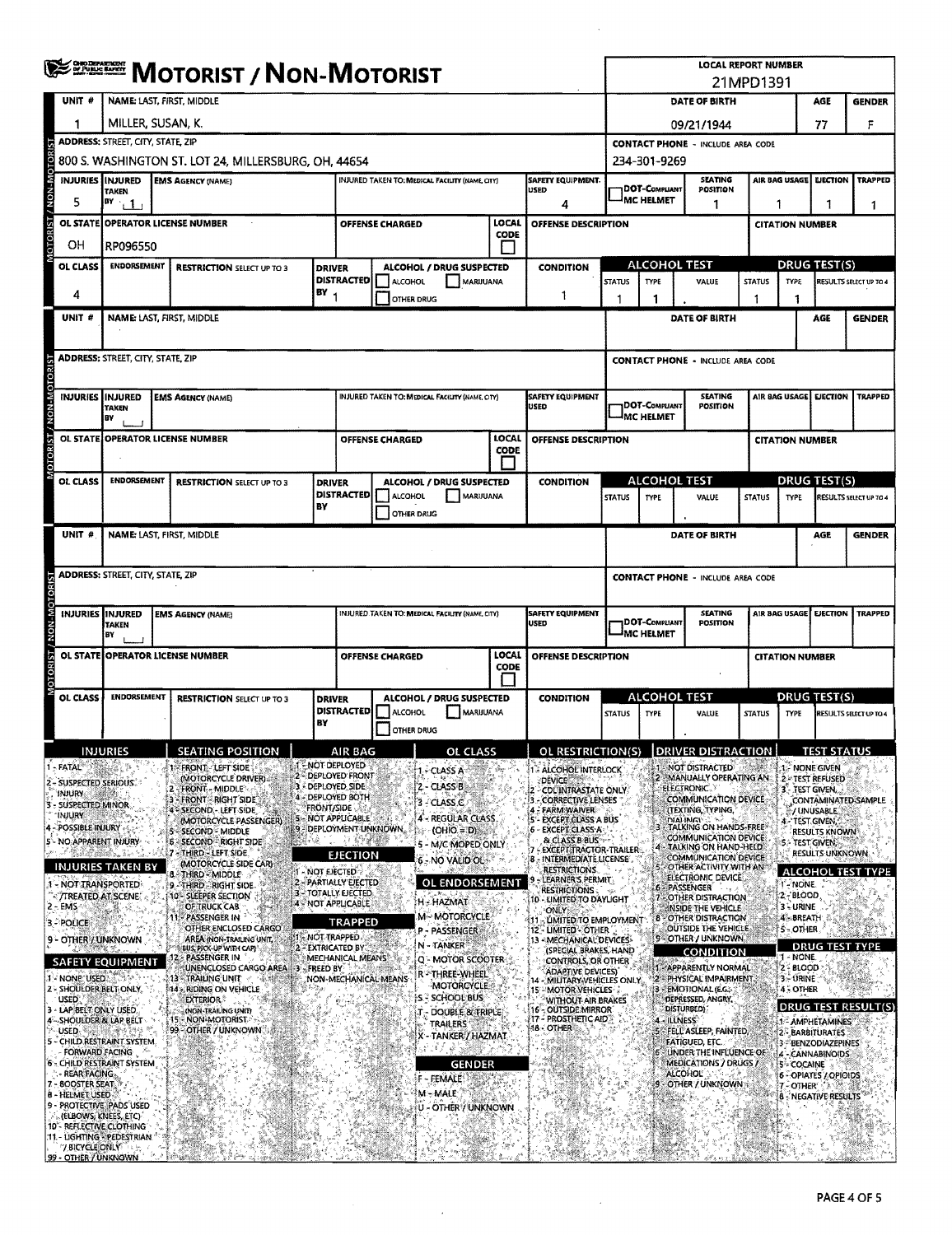|              |                                    |                                                                                 | <b>SERGEM</b> MOTORIST / NON-MOTORIST                   |                   |                                              |                   |                                                 |                      |                                                                      |               |                                    |                                          | <b>LOCAL REPORT NUMBER</b>                                                 | 21MPD1391     |                        |                                               |                               |
|--------------|------------------------------------|---------------------------------------------------------------------------------|---------------------------------------------------------|-------------------|----------------------------------------------|-------------------|-------------------------------------------------|----------------------|----------------------------------------------------------------------|---------------|------------------------------------|------------------------------------------|----------------------------------------------------------------------------|---------------|------------------------|-----------------------------------------------|-------------------------------|
|              | UNIT <sup>#</sup>                  |                                                                                 | <b>NAME: LAST. FIRST. MIDDLE</b>                        |                   |                                              |                   |                                                 |                      |                                                                      |               |                                    |                                          | DATE OF BIRTH                                                              |               |                        | AGE                                           | <b>GENDER</b>                 |
|              | 1                                  | MILLER, SUSAN, K.                                                               |                                                         |                   |                                              |                   |                                                 |                      |                                                                      |               |                                    | 09/21/1944                               |                                                                            |               |                        | 77                                            | F                             |
|              |                                    | <b>ADDRESS: STREET, CITY, STATE, ZIP</b>                                        |                                                         |                   |                                              |                   |                                                 |                      |                                                                      |               |                                    |                                          | <b>CONTACT PHONE - INCLUDE AREA CODE</b>                                   |               |                        |                                               |                               |
|              |                                    |                                                                                 | 800 S. WASHINGTON ST. LOT 24, MILLERSBURG, OH, 44654    |                   |                                              |                   |                                                 |                      |                                                                      |               | 234-301-9269                       |                                          |                                                                            |               |                        |                                               |                               |
| NON-MOTOR    |                                    | <b>INJURIES IINJURED</b><br><b>TAKEN</b>                                        | <b>EMS AGENCY (NAME)</b>                                |                   |                                              |                   | INJURED TAKEN TO: MEDICAL FACILITY (NAME, CITY) |                      | <b>SAFETY EQUIPMENT.</b><br><b>USED</b>                              |               | DOT-COMPLIANT                      |                                          | <b>SEATING</b><br>POSITION                                                 |               | AIR BAG USAGE          | <b>EJECTION</b>                               | <b>TRAPPED</b>                |
|              | 5                                  | BY<br>$\pm 1$                                                                   |                                                         |                   |                                              |                   |                                                 |                      | 4                                                                    |               | <b>MC HELMET</b>                   |                                          | 1                                                                          |               | 1                      | 1                                             | 1                             |
|              | OL STATE                           |                                                                                 | <b>OPERATOR LICENSE NUMBER</b>                          |                   | OFFENSE CHARGED                              |                   |                                                 | LOCAL<br>CODE        | <b>OFFENSE DESCRIPTION</b>                                           |               |                                    |                                          |                                                                            |               | <b>CITATION NUMBER</b> |                                               |                               |
|              | OН                                 | RP096550                                                                        |                                                         |                   |                                              |                   |                                                 |                      |                                                                      |               |                                    |                                          |                                                                            |               |                        |                                               |                               |
|              | OL CLASS                           | <b>ENDORSEMENT</b>                                                              | <b>RESTRICTION SELECT UP TO 3</b>                       | <b>DRIVER</b>     | <b>DISTRACTED</b>                            | ALCOHOL           | ALCOHOL / DRUG SUSPECTED<br>MARIJUANA           |                      | <b>CONDITION</b>                                                     | <b>STATUS</b> | ALCOHOL TEST<br>TYPE               |                                          | VALUE                                                                      | <b>STATUS</b> | TYPE                   | <b>DRUG TEST(S)</b>                           | RESULTS SELECT UP TO 4        |
|              | 4                                  |                                                                                 |                                                         | BY                |                                              | OTHER DRUG        |                                                 |                      | 1                                                                    |               | 1                                  |                                          |                                                                            | -1            | 1                      |                                               |                               |
|              | UNIT <sub>#</sub>                  |                                                                                 | <b>NAME: LAST, FIRST, MIDDLE</b>                        |                   |                                              |                   |                                                 |                      |                                                                      |               |                                    |                                          | DATE OF BIRTH                                                              |               |                        | AGE                                           | <b>GENDER</b>                 |
|              |                                    |                                                                                 |                                                         |                   |                                              |                   |                                                 |                      |                                                                      |               |                                    |                                          |                                                                            |               |                        |                                               |                               |
|              |                                    | <b>ADDRESS: STREET, CITY, STATE, ZIP</b>                                        |                                                         |                   |                                              |                   |                                                 |                      |                                                                      |               |                                    |                                          | <b>CONTACT PHONE - INCLUDE AREA CODE</b>                                   |               |                        |                                               |                               |
| <b>MON-N</b> |                                    | <b>INJURIES INJURED</b><br>TAXEN<br>BY                                          | <b>EMS AGENCY (NAME)</b>                                |                   |                                              |                   | INJURED TAKEN TO: MEDICAL FACILITY (NAME, CITY) |                      | <b>SAFETY EQUIPMENT</b><br><b>USED</b>                               |               | DOT-COMPLIANT<br>MC HELMET         |                                          | <b>SEATING</b><br>POSITION                                                 |               | AIR BAG USAGE          |                                               | EJECTION TRAPPED              |
|              | <b>OL STATE</b>                    |                                                                                 | <b>OPERATOR LICENSE NUMBER</b>                          |                   | <b>OFFENSE CHARGED</b>                       |                   |                                                 | LOCAL                | <b>OFFENSE DESCRIPTION</b>                                           |               |                                    |                                          |                                                                            |               | <b>CITATION NUMBER</b> |                                               |                               |
|              |                                    |                                                                                 |                                                         |                   |                                              |                   |                                                 | CODE                 |                                                                      |               |                                    |                                          |                                                                            |               |                        |                                               |                               |
|              | <b>OL CLASS</b>                    | <b>ENDORSEMENT</b>                                                              | <b>RESTRICTION SELECT UP TO 3</b>                       | <b>DRIVER</b>     | <b>DISTRACTED</b>                            | <b>ALCOHOL</b>    | ALCOHOL / DRUG SUSPECTED<br>MARIJUANA           |                      | <b>CONDITION</b>                                                     |               | ALCOHOL TEST                       |                                          |                                                                            |               |                        | DRUG TEST(S)                                  |                               |
|              |                                    |                                                                                 |                                                         | BY                |                                              | OTHER DRUG        |                                                 |                      |                                                                      | <b>STATUS</b> | TYPE                               |                                          | VALUE                                                                      | <b>STATUS</b> | TYPE                   |                                               | <b>RESULTS SELECT UP TO 4</b> |
|              | UNIT #                             |                                                                                 | <b>NAME: LAST, FIRST, MIDDLE</b>                        |                   |                                              |                   |                                                 |                      |                                                                      |               |                                    |                                          | <b>DATE OF BIRTH</b>                                                       |               |                        | AGE                                           | <b>GENDER</b>                 |
|              |                                    |                                                                                 |                                                         |                   |                                              |                   |                                                 |                      |                                                                      |               |                                    |                                          |                                                                            |               |                        |                                               |                               |
|              |                                    | <b>ADDRESS: STREET, CITY, STATE, ZIP</b>                                        |                                                         |                   |                                              |                   |                                                 |                      |                                                                      |               |                                    |                                          | <b>CONTACT PHONE - INCLUDE AREA CODE</b>                                   |               |                        |                                               |                               |
|              |                                    | INJURIES IINJURED<br><b>TAKEN</b><br>B٧                                         | <b>EMS AGENCY (NAME)</b>                                |                   |                                              |                   | INJURED TAKEN TO: MEDICAL FACILITY (NAME, CITY) |                      | <b>SAFETY EQUIPMENT</b><br>USED                                      |               | DOT-COMPLIANT<br><b>IMC HELMET</b> |                                          | <b>SEATING</b><br><b>POSITION</b>                                          |               | AIR BAG USAGE          | <b>EJECTION</b>                               | <b>TRAPPED</b>                |
|              |                                    |                                                                                 | OL STATE OPERATOR LICENSE NUMBER                        |                   | OFFENSE CHARGED                              |                   |                                                 | <b>LOCAL</b><br>CODE | <b>OFFENSE DESCRIPTION</b>                                           |               |                                    |                                          |                                                                            |               | <b>CITATION NUMBER</b> |                                               |                               |
|              | OL CLASS                           | <b>ENDORSEMENT</b>                                                              | <b>RESTRICTION SELECT UP TO 3</b>                       | <b>DRIVER</b>     |                                              |                   | ALCOHOL / DRUG SUSPECTED                        |                      | <b>CONDITION</b>                                                     |               | <b>ALCOHOL TEST</b>                |                                          |                                                                            |               |                        | <b>DRUG TEST(S)</b>                           |                               |
|              |                                    |                                                                                 |                                                         | BY                | <b>DISTRACTED</b>                            | ALCOHOL           | MARIJUANA                                       |                      |                                                                      | <b>STATUS</b> | <b>TYPE</b>                        |                                          | VALUE                                                                      | <b>STATUS</b> | <b>TYPE</b>            |                                               | RESULTS SELECT UP TO 4        |
|              |                                    |                                                                                 |                                                         |                   |                                              | <b>OTHER DRUG</b> |                                                 |                      |                                                                      |               |                                    |                                          |                                                                            |               |                        |                                               |                               |
| <b>FATAL</b> |                                    | IMBIDIEC                                                                        | SEATING POSITION<br>FRONT LEFT SIDE                     |                   | AID RAG<br>- NOT DEPLOYED                    |                   | OL CLACC                                        |                      | OL RESTRICTION(S)   DRIVER DISTRACTION  <br><b>ALCOHOL INTERLOCK</b> |               |                                    |                                          | <b>NOT DISTRACTED</b>                                                      |               |                        | <b>TEST STATUS</b><br>1. NONE GWEN            |                               |
|              |                                    | 2 - SUSPECTED SERIOUS.                                                          | (MOTORCYCLE DRIVER)<br><b>FRONT - MIDDLE</b>            |                   | 2 DEPLOYED FRONT<br>3 DEPLOYED SIDE          |                   | 1. - CLASS A<br>2 - CLASS B                     |                      | <b>DEVICE</b><br>- CDLINTRASTATE ONLY                                |               |                                    | <b>ELECTRONIC</b>                        | 2 - MANUALLY OPERATING AN                                                  |               |                        | <b>TEST REFUSED</b><br><b>TEST GIVEN.</b>     |                               |
| injury       | - SUSPECTED MINOR                  |                                                                                 | 3 FRONT - RIGHT SIDE<br>4 SECOND LEFT SIDE              | <b>FRONT/SIDE</b> | 4 - DEPLOYED BOTH                            |                   | 3 - CLASS C                                     |                      | <b>CORRECTIVE LENSES</b><br>: FARM WAIVER                            |               |                                    |                                          | <b>COMMUNICATION DEVICE</b><br><b>TTEXTING, TYPING,</b>                    |               |                        | / UNUSABLE                                    | CONTAMINATED SAMPLE           |
| INJURY       | <b>POSSIBLE INJURY</b>             |                                                                                 | (MOTORCYCLE PASSENGER)<br>-SECOND - MIDDLE              |                   | 5 - NOT APPLICABLE<br>9 - DEPLOYMENT UNKNOWN |                   | <b>4 - REGULAR CLASS</b><br>$(OHIO = D)$        |                      | 5 - EXCEPT CLASS A BUS<br>6 - EXCEPT CLASS A                         |               |                                    | <b>DIALINGLY</b>                         | TALKING ON HANDS-FREE                                                      |               |                        | 4 - TEST GIVEN,<br>RESULTS KNOWN <sup>3</sup> |                               |
|              |                                    | - NO APPARENT INJURY                                                            | <b>6 - SECOND - RIGHT SIDE</b><br>7 - THIRD - LEFT SIDE |                   | EJECTION                                     |                   | 5 - M/C MOPED ONLY                              |                      | & CLASS B BUS<br><b>EXCEPT TRACTOR-TRAILER</b>                       |               |                                    |                                          | COMMUNICATION DEVICE<br>- TALKING ON HAND-HELD                             |               |                        | 5 - TEST GIVEN,<br>RESULTS UNKNOWN            |                               |
|              |                                    | INJURIES TAKEN BY                                                               | (MOTORCYCLE SIDE CAR)<br>THIRD - MIDDLE                 |                   | <b>NOT EIECTED</b>                           |                   | 6 - NO VALID OL-                                |                      | - INTERMEDIATE LICENSE<br><b>RESTRICTIONS</b>                        |               |                                    |                                          | <b>COMMUNICATION DEVICE</b><br>OTHER ACTIVITY WITH AN<br>ELECTRONIC DEVICE |               |                        |                                               | ALCOHOL TEST TYPE             |
|              |                                    | 1 - NOT TRANSPORTED<br>ः /TREATED AT SCENE:                                     | 9 - THIRD - RIGHT SIDE<br>10 - SLEEPER SECTION          |                   | 2 - PARTIALLY EJECTED<br>3 - TOTALLY EJECTED |                   | <b>OL ENDORSEMENT</b>                           |                      | LEARNER'S PERMIT<br><b>RESTRICTIONS</b><br>10 - LIMITED TO DAYLIGHT  |               |                                    | 6 - PASSENGER                            | 7 - OTHER DISTRACTION                                                      |               | 1 NONE<br>2 - BLOOD    |                                               |                               |
| $2 - EMS$    |                                    |                                                                                 | OF TRUCK CAB<br><b>PASSENGER IN</b>                     |                   | 4 - NOT APPLICABLE                           |                   | H - HAZMAT<br><b>M-MOTORCYCLE</b>               |                      | ONLY<br>LIMITED TO EMPLOYMENT                                        |               |                                    |                                          | MINSIDE THE VEHICLE<br>8 OTHER DISTRACTION                                 |               | 3 - URINE<br>4 BREATH  |                                               |                               |
| 3-POLICE     |                                    | 9 - OTHER / UNKNOWN                                                             | OTHER ENCLOSED CARGO<br>AREA (NON-TRAILING UNIT)        |                   | <b>TRAPPED</b><br><b>1 NOT TRAPPED</b>       |                   | P - PASSENGER                                   |                      | 12 - LIMITED - OTHER<br>13 - MECHANICAL DEVICES-                     |               |                                    |                                          | OUTSIDE THE VEHICLE<br>9 - OTHER / UNKNOWN.                                |               | 5 - OTHER              |                                               |                               |
|              |                                    | <b>SAFETY EQUIPMENT</b>                                                         | BUS, PICK-UP WITH CAP)<br>PASSENGER IN                  |                   | 2 - EXTRICATED BY<br>MECHANICAL MEANS        |                   | N - TANKER<br>Q MOTOR SCOOTER                   |                      | (SPECIAL BRAKES, HAND<br>CONTROLS, OR OTHER                          |               |                                    |                                          | CONDITION                                                                  |               | NONE.                  | <b>DRUG TEST TYPE</b>                         |                               |
|              | 1 - NONE USED.                     |                                                                                 | UNENCLOSED CARGO AREA<br>13 - TRAILING UNIT             | 3 - FREED BY      | NON-MECHANICAL MEANS                         |                   | R - THREE-WHEEL                                 |                      | <b>ADAPTIVE DEVICES)</b><br>14 - MILITARY VEHICLES ONLY.             |               |                                    |                                          | 1. APPARENTLY NORMAL<br>2 - PHYSICAL IMPAIRMENT                            |               | $2 - BLOOD$<br>3-URINE |                                               |                               |
| <b>USED</b>  |                                    | 2 - SHOULDER BELT ONLY                                                          | <b>44 RIDING ON VEHICLE</b><br><b>EXTERIOR</b>          |                   |                                              |                   | MOTORCYCLE<br>S - SCHOOL BUS                    |                      | 15 - MOTOR VEHICLES<br>WITHOUT AIR BRAKES                            |               |                                    | 3 - EMOTIONAL (E.G.<br>DEPRESSED, ANGRY, |                                                                            |               | $4 - OPTER$            |                                               |                               |
|              |                                    | 3 - LAP BELT ONLY USED.<br>4 - SHOULDER & LAP BELT                              | (NON-TRAILING UNIT)<br>- NON-MOTORIST<br>15             |                   |                                              |                   | - DOUBLE & TRIPLE<br><b>TRAILERS</b>            |                      | 16 - OUTSIDE MIRROR<br>17 - PROSTHETIC AID -<br>18 - OTHER           |               |                                    | DISTURBED):<br>4 - ILLNESS               |                                                                            |               |                        | 1 - AMPHETAMINES                              | <b>DRUG TEST RESULT(S)</b>    |
| USED.        |                                    | 5 - CHILD RESTRAINT SYSTEM.                                                     | 99 - OTHER / UNKNOWN                                    |                   |                                              |                   | X - TANKER / HAZMAT                             |                      |                                                                      |               |                                    | FATIGUED, ETC.                           | FELL ASLEEP, FAINTED                                                       |               |                        | 2 - BARBITURATES<br>3 BENZODIAZEPINES         |                               |
|              |                                    | FORWARD FACING<br>6 - CHILD RESTRAINT SYSTEM                                    |                                                         |                   |                                              |                   | GENDER                                          |                      |                                                                      |               |                                    |                                          | UNDER THE INFLUENCE OF<br>MEDICATIONS / DRUGS /                            |               | 5 COCAINE              | 4 - CANNABINOIDS                              |                               |
|              | - REAR FACING<br>7 - BOOSTER SEAT, |                                                                                 |                                                         |                   |                                              |                   | F - FEMALE                                      |                      |                                                                      |               |                                    | <b>ALCOHOL</b>                           | OTHER / UNKNOWN                                                            |               | 7 - OTHER              | 6 - OPIATES / OPIOIDS                         |                               |
|              | <b>B-HELMET USED</b>               | 9 - PROTECTIVE PADS USED                                                        |                                                         |                   |                                              |                   | M - MALE<br>U - OTHER / UNKNOWN                 |                      |                                                                      |               |                                    |                                          |                                                                            |               |                        | <b>8 - NEGATIVE RESULTS</b>                   |                               |
|              |                                    | (ELBOWS, KNEES, ETC)<br>10 - REFLECTIVE CLOTHING<br>11 - LIGHTING - PEDESTRIAN. |                                                         |                   |                                              |                   |                                                 |                      |                                                                      |               |                                    |                                          |                                                                            |               |                        |                                               |                               |
|              | '/ BICYCLE ONLY                    | 99 - OTHER / UNKNOWN                                                            |                                                         |                   |                                              |                   |                                                 |                      |                                                                      |               |                                    |                                          |                                                                            |               |                        |                                               |                               |

 $\mathcal{L}^{\text{max}}_{\text{max}}$ 

 $\sim$   $\sim$ 

 $\hat{\mathcal{A}}$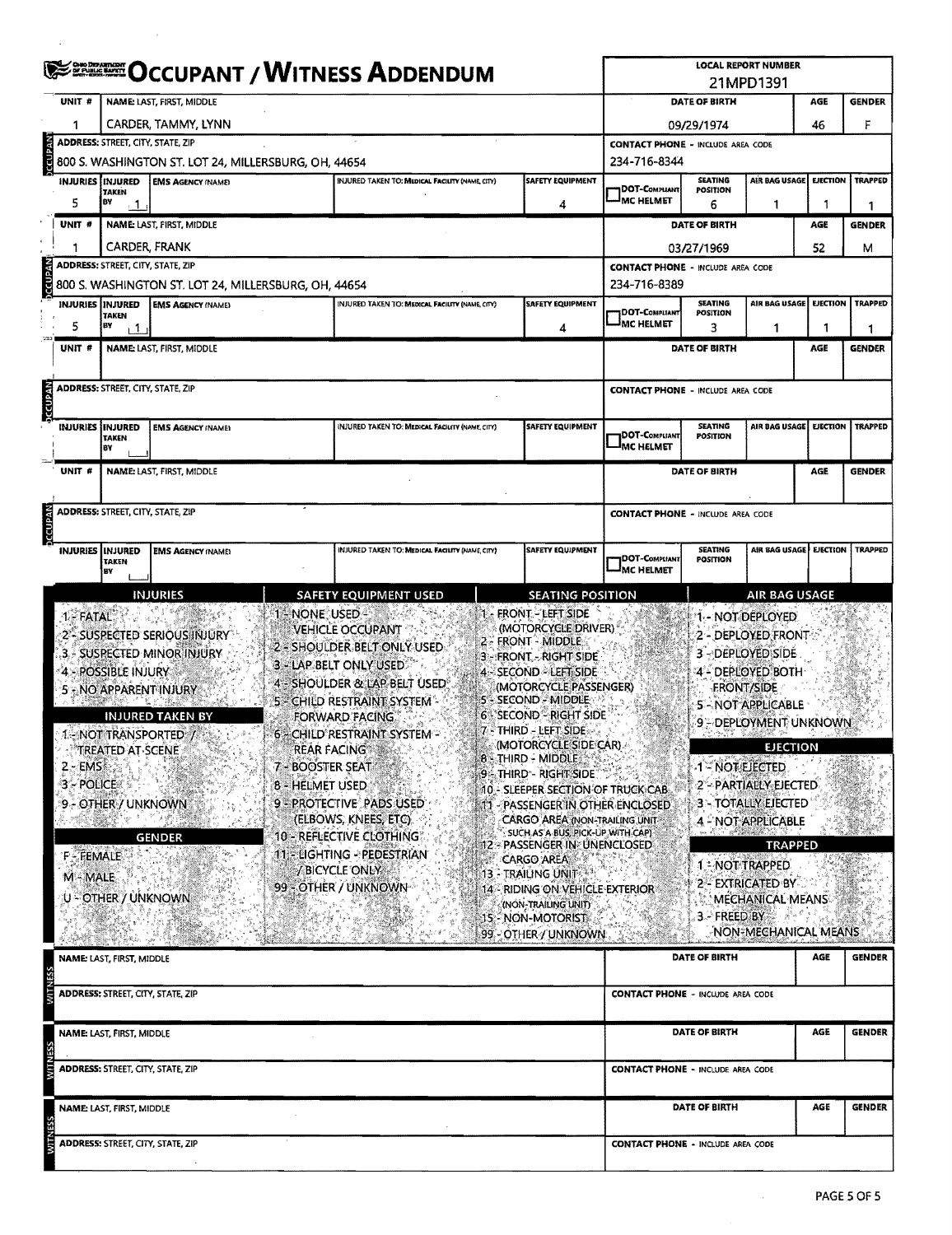|                                                                                                              |                                                                                       |                                                                                                                                                              |                                                           | <b>EEE OCCUPANT / WITNESS ADDENDUM</b>                                                                                                                                                                                                                                                                                                                                                |                                                                                                                                                                                                                                                                                                                                                                                                                                                                                                                                                                                                                                                  |                                          |                                   | <b>LOCAL REPORT NUMBER</b>                                                                                                                                                                                                                                                                                                                                               |                        |                |  |  |  |
|--------------------------------------------------------------------------------------------------------------|---------------------------------------------------------------------------------------|--------------------------------------------------------------------------------------------------------------------------------------------------------------|-----------------------------------------------------------|---------------------------------------------------------------------------------------------------------------------------------------------------------------------------------------------------------------------------------------------------------------------------------------------------------------------------------------------------------------------------------------|--------------------------------------------------------------------------------------------------------------------------------------------------------------------------------------------------------------------------------------------------------------------------------------------------------------------------------------------------------------------------------------------------------------------------------------------------------------------------------------------------------------------------------------------------------------------------------------------------------------------------------------------------|------------------------------------------|-----------------------------------|--------------------------------------------------------------------------------------------------------------------------------------------------------------------------------------------------------------------------------------------------------------------------------------------------------------------------------------------------------------------------|------------------------|----------------|--|--|--|
| UNIT#                                                                                                        |                                                                                       | <b>NAME: LAST, FIRST, MIDDLE</b>                                                                                                                             |                                                           |                                                                                                                                                                                                                                                                                                                                                                                       |                                                                                                                                                                                                                                                                                                                                                                                                                                                                                                                                                                                                                                                  |                                          | DATE OF BIRTH                     | 21MPD1391                                                                                                                                                                                                                                                                                                                                                                | AGE                    | <b>GENDER</b>  |  |  |  |
|                                                                                                              |                                                                                       | CARDER, TAMMY, LYNN                                                                                                                                          |                                                           |                                                                                                                                                                                                                                                                                                                                                                                       |                                                                                                                                                                                                                                                                                                                                                                                                                                                                                                                                                                                                                                                  |                                          | 09/29/1974                        |                                                                                                                                                                                                                                                                                                                                                                          | 46                     | F              |  |  |  |
|                                                                                                              |                                                                                       | ADDRESS: STREET, CITY, STATE, ZIP                                                                                                                            |                                                           |                                                                                                                                                                                                                                                                                                                                                                                       |                                                                                                                                                                                                                                                                                                                                                                                                                                                                                                                                                                                                                                                  | <b>CONTACT PHONE - INCLUDE AREA CODE</b> |                                   |                                                                                                                                                                                                                                                                                                                                                                          |                        |                |  |  |  |
| <b>VECUPAN</b>                                                                                               |                                                                                       | 800 S. WASHINGTON ST. LOT 24, MILLERSBURG, OH, 44654                                                                                                         |                                                           |                                                                                                                                                                                                                                                                                                                                                                                       |                                                                                                                                                                                                                                                                                                                                                                                                                                                                                                                                                                                                                                                  | 234-716-8344                             |                                   |                                                                                                                                                                                                                                                                                                                                                                          |                        |                |  |  |  |
| <b>INJURIES</b>                                                                                              | <b>INJURED</b><br><b>TAKEN</b>                                                        | <b>EMS AGENCY (NAME)</b>                                                                                                                                     |                                                           | <b>INJURED TAKEN TO: MEDICAL FACILITY (NAME, CITY)</b>                                                                                                                                                                                                                                                                                                                                | <b>SAFETY EQUIPMENT</b>                                                                                                                                                                                                                                                                                                                                                                                                                                                                                                                                                                                                                          | DOT-COMPLIANT                            | <b>SEATING</b><br><b>POSITION</b> | AIR BAG USAGE                                                                                                                                                                                                                                                                                                                                                            | EJECTION               | <b>TRAPPED</b> |  |  |  |
| 5                                                                                                            | BY<br>$\overline{1}$                                                                  |                                                                                                                                                              |                                                           |                                                                                                                                                                                                                                                                                                                                                                                       | 4                                                                                                                                                                                                                                                                                                                                                                                                                                                                                                                                                                                                                                                | <b>MC HELMET</b>                         | 6                                 | -1                                                                                                                                                                                                                                                                                                                                                                       | 1                      | 1              |  |  |  |
| UNIT <sub>#</sub>                                                                                            |                                                                                       | <b>NAME: LAST, FIRST, MIDDLE</b>                                                                                                                             |                                                           |                                                                                                                                                                                                                                                                                                                                                                                       |                                                                                                                                                                                                                                                                                                                                                                                                                                                                                                                                                                                                                                                  |                                          | DATE OF BIRTH                     |                                                                                                                                                                                                                                                                                                                                                                          | AGE                    | <b>GENDER</b>  |  |  |  |
|                                                                                                              |                                                                                       | CARDER, FRANK                                                                                                                                                |                                                           |                                                                                                                                                                                                                                                                                                                                                                                       |                                                                                                                                                                                                                                                                                                                                                                                                                                                                                                                                                                                                                                                  |                                          | 03/27/1969                        |                                                                                                                                                                                                                                                                                                                                                                          | 52                     | М              |  |  |  |
| <b>AV<br/>d&gt;&gt;&gt;&gt;&gt;&gt;&gt;&gt;&gt;&gt;&gt;&gt;&gt;&gt;&gt;&gt;&gt;&gt;&gt;&gt;&gt;&gt;&gt;+</b> | <b>ADDRESS: STREET, CITY, STATE, ZIP</b>                                              |                                                                                                                                                              |                                                           |                                                                                                                                                                                                                                                                                                                                                                                       |                                                                                                                                                                                                                                                                                                                                                                                                                                                                                                                                                                                                                                                  | <b>CONTACT PHONE - INCLUDE AREA CODE</b> |                                   |                                                                                                                                                                                                                                                                                                                                                                          |                        |                |  |  |  |
|                                                                                                              |                                                                                       | 800 S. WASHINGTON ST. LOT 24, MILLERSBURG, OH, 44654                                                                                                         |                                                           |                                                                                                                                                                                                                                                                                                                                                                                       | <b>SAFETY EQUIPMENT</b>                                                                                                                                                                                                                                                                                                                                                                                                                                                                                                                                                                                                                          | 234-716-8389                             | <b>SEATING</b>                    | AIR BAG USAGE                                                                                                                                                                                                                                                                                                                                                            | EJECTION               | <b>TRAPPED</b> |  |  |  |
| INJURIES   INJURED                                                                                           | TAKEN                                                                                 | <b>EMS AGENCY (NAME)</b>                                                                                                                                     |                                                           | INJURED TAKEN TO: MEDICAL FACILITY (NAME, CITY)                                                                                                                                                                                                                                                                                                                                       |                                                                                                                                                                                                                                                                                                                                                                                                                                                                                                                                                                                                                                                  | DOT-COMPLIANT<br>IMC HELMET              | <b>POSITION</b>                   |                                                                                                                                                                                                                                                                                                                                                                          |                        |                |  |  |  |
| 5                                                                                                            | BY<br>$\mathsf{L}^1$                                                                  |                                                                                                                                                              |                                                           |                                                                                                                                                                                                                                                                                                                                                                                       | 4                                                                                                                                                                                                                                                                                                                                                                                                                                                                                                                                                                                                                                                |                                          | 3                                 | 1                                                                                                                                                                                                                                                                                                                                                                        | 1                      | 1              |  |  |  |
| UNIT #                                                                                                       |                                                                                       | NAME: LAST, FIRST, MIDDLE                                                                                                                                    |                                                           |                                                                                                                                                                                                                                                                                                                                                                                       |                                                                                                                                                                                                                                                                                                                                                                                                                                                                                                                                                                                                                                                  |                                          | DATE OF BIRTH                     |                                                                                                                                                                                                                                                                                                                                                                          | AGE                    | <b>GENDER</b>  |  |  |  |
|                                                                                                              | <b>ADDRESS: STREET, CITY, STATE, ZIP</b>                                              |                                                                                                                                                              |                                                           |                                                                                                                                                                                                                                                                                                                                                                                       |                                                                                                                                                                                                                                                                                                                                                                                                                                                                                                                                                                                                                                                  | <b>CONTACT PHONE - INCLUDE AREA CODE</b> |                                   |                                                                                                                                                                                                                                                                                                                                                                          |                        |                |  |  |  |
| <b>VEGUPAN</b>                                                                                               |                                                                                       |                                                                                                                                                              |                                                           |                                                                                                                                                                                                                                                                                                                                                                                       |                                                                                                                                                                                                                                                                                                                                                                                                                                                                                                                                                                                                                                                  |                                          |                                   |                                                                                                                                                                                                                                                                                                                                                                          |                        |                |  |  |  |
|                                                                                                              | INJURIES INJURED                                                                      | <b>EMS AGENCY (NAME)</b>                                                                                                                                     |                                                           | INJURED TAKEN TO: MEDICAL FACILITY (NAME, CITY)                                                                                                                                                                                                                                                                                                                                       | <b>SAFETY EQUIPMENT</b>                                                                                                                                                                                                                                                                                                                                                                                                                                                                                                                                                                                                                          | <b>DOT-COMPLIANT</b>                     | <b>SEATING</b><br><b>POSITION</b> | AIR BAG USAGE                                                                                                                                                                                                                                                                                                                                                            | <b>EJECTION</b>        | <b>TRAPPED</b> |  |  |  |
|                                                                                                              | <b>TAKEN</b><br>BY                                                                    |                                                                                                                                                              |                                                           |                                                                                                                                                                                                                                                                                                                                                                                       |                                                                                                                                                                                                                                                                                                                                                                                                                                                                                                                                                                                                                                                  | <b>IMC HELMET</b>                        |                                   |                                                                                                                                                                                                                                                                                                                                                                          |                        |                |  |  |  |
| UNIT #                                                                                                       |                                                                                       | <b>NAME: LAST, FIRST, MIDDLE</b>                                                                                                                             |                                                           |                                                                                                                                                                                                                                                                                                                                                                                       |                                                                                                                                                                                                                                                                                                                                                                                                                                                                                                                                                                                                                                                  |                                          | DATE OF BIRTH                     |                                                                                                                                                                                                                                                                                                                                                                          | AGE                    | <b>GENDER</b>  |  |  |  |
|                                                                                                              |                                                                                       |                                                                                                                                                              |                                                           |                                                                                                                                                                                                                                                                                                                                                                                       |                                                                                                                                                                                                                                                                                                                                                                                                                                                                                                                                                                                                                                                  |                                          |                                   |                                                                                                                                                                                                                                                                                                                                                                          |                        |                |  |  |  |
|                                                                                                              | <b>ADDRESS: STREET, CITY, STATE, ZIP</b>                                              |                                                                                                                                                              |                                                           |                                                                                                                                                                                                                                                                                                                                                                                       |                                                                                                                                                                                                                                                                                                                                                                                                                                                                                                                                                                                                                                                  | <b>CONTACT PHONE - INCLUDE AREA CODE</b> |                                   |                                                                                                                                                                                                                                                                                                                                                                          |                        |                |  |  |  |
| <b>DCCUPAN</b>                                                                                               |                                                                                       |                                                                                                                                                              |                                                           |                                                                                                                                                                                                                                                                                                                                                                                       |                                                                                                                                                                                                                                                                                                                                                                                                                                                                                                                                                                                                                                                  |                                          |                                   |                                                                                                                                                                                                                                                                                                                                                                          |                        |                |  |  |  |
|                                                                                                              | <b>INJURIES IINJURED</b><br><b>TAKEN</b>                                              | <b>EMS AGENCY (NAME)</b>                                                                                                                                     |                                                           | INJURED TAKEN TO: MEDICAL FACILITY (NAME, CITY)                                                                                                                                                                                                                                                                                                                                       | <b>SAFETY EQUIPMENT</b>                                                                                                                                                                                                                                                                                                                                                                                                                                                                                                                                                                                                                          | DOT-Compliant                            | <b>SEATING</b><br><b>POSITION</b> |                                                                                                                                                                                                                                                                                                                                                                          | AIR BAG USAGE EJECTION | <b>TRAPPED</b> |  |  |  |
|                                                                                                              | BY                                                                                    | <b>INJURIES</b>                                                                                                                                              |                                                           | <b>SAFETY EQUIPMENT USED</b>                                                                                                                                                                                                                                                                                                                                                          | <b>SEATING POSITION</b>                                                                                                                                                                                                                                                                                                                                                                                                                                                                                                                                                                                                                          | <sup>I</sup> MC HELMET                   |                                   | <b>AIR BAG USAGE</b>                                                                                                                                                                                                                                                                                                                                                     |                        |                |  |  |  |
| $1 - FATAL$<br>$2 - EMS$<br>3-POLICE<br>F-FEMALE<br>$M - MALE$                                               | 4 - POSSIBLE INJURY<br>TREATED AT SCENE<br>9 - OTHER / UNKNOWN<br>U - OTHER / UNKNOWN | 2'- SUSPECTED SERIOUS INJURY<br>3. - SUSPECTED MINOR INJURY<br>5 - NO APPARENT INJURY<br><b>INJURED TAKEN BY</b><br>1. NOT TRANSPORTED / 2.<br><b>GENDER</b> | <b>1 NONE USED</b><br>7 - BOOSTER SEAT<br>8 - HELMET USED | VEHICLE OCCUPANT<br>2 - SHOULDER BELT ONLY USED.<br>3 - LAP BELT ONLY USED.<br>4 - SHOULDER & LAP BELT USED<br>5 - CHILD RESTRAINT SYSTEM -<br>FORWARD FACING<br>6 - CHILD RESTRAINT SYSTEM -<br><b>REAR FACING ASSAULT</b><br>9 - PROTECTIVE PADS USED<br>(ELBOWS, KNEES, ETC)<br>10 - REFLECTIVE CLOTHING:<br>11 - LIGHTING - PEDESTRIAN<br>/ BICYCLE ONLY!<br>99 - OTHER / UNKNOWN | 1 - FRONT - LEFT SIDE<br>(MOTORCYCLE DRIVER)<br>2 - FRONT - MIDDLE<br>3 - FRONT - RIGHT SIDE<br>4 - SECOND - LEFT SIDE<br>(MOTORCYCLE PASSENGER)<br>5 - SECOND - MIDDLE<br>6 - SECOND - RIGHT SIDE<br>7 - THIRD - LEFT SIDE -<br>(MOTORCYCLE SIDE CAR)<br>8 - THIRD - MIDDLE<br>9 - Third - Right Side<br>10 - SLEEPER SECTION OF TRUCK CAB<br>:11 - PASSENGER IN OTHER ENCLOSED<br>CARGO AREA (NON-TRAILING UNIT-<br>SUCH AS A BUS, PICK-UP WITH CAP)<br>12 - PASSENGER IN: UNENCLOSED<br><b>CARGO AREA</b><br>13 - TRAILING UNIT<br>14 - RIDING ON VEHICLE EXTERIOR<br>(NON-TRAILING UNIT)<br><b>15 - NON-MOTORIST</b><br>99 - OTHER / UNKNOWN |                                          | 1 - NOT EJECTED<br>3 - FREED BY   | 1 - NOT DEPLOYED<br>2 - DEPLOYED FRONT<br>3 - DEPLOYED SIDE<br>4 - DEPLOYED BOTH<br><b>FRONT/SIDE</b><br><b>5 - NOT APPLICABLE</b><br>9 - DEPLOYMENT UNKNOWN<br><b>EJECTION</b><br>2 - PARTIALLY EJECTED<br>3 - TOTALLY EJECTED<br>4 - NOT APPLICABLE<br><b>TRAPPED</b><br>1. NOT TRAPPED<br>2 - EXTRICATED BY<br><b>MECHANICAL MEANS</b><br><b>NON-MECHANICAL MEANS</b> |                        |                |  |  |  |
|                                                                                                              | NAME: LAST, FIRST, MIDDLE                                                             |                                                                                                                                                              |                                                           |                                                                                                                                                                                                                                                                                                                                                                                       |                                                                                                                                                                                                                                                                                                                                                                                                                                                                                                                                                                                                                                                  |                                          | DATE OF BIRTH                     |                                                                                                                                                                                                                                                                                                                                                                          | <b>AGE</b>             | <b>GENDER</b>  |  |  |  |
| VШ                                                                                                           |                                                                                       | <b>ADDRESS: STREET, CITY, STATE, ZIP</b>                                                                                                                     |                                                           |                                                                                                                                                                                                                                                                                                                                                                                       |                                                                                                                                                                                                                                                                                                                                                                                                                                                                                                                                                                                                                                                  | <b>CONTACT PHONE - INCLUDE AREA CODE</b> |                                   |                                                                                                                                                                                                                                                                                                                                                                          |                        |                |  |  |  |
|                                                                                                              |                                                                                       |                                                                                                                                                              |                                                           |                                                                                                                                                                                                                                                                                                                                                                                       |                                                                                                                                                                                                                                                                                                                                                                                                                                                                                                                                                                                                                                                  |                                          |                                   |                                                                                                                                                                                                                                                                                                                                                                          |                        |                |  |  |  |
|                                                                                                              | NAME: LAST, FIRST, MIDDLE                                                             |                                                                                                                                                              |                                                           |                                                                                                                                                                                                                                                                                                                                                                                       |                                                                                                                                                                                                                                                                                                                                                                                                                                                                                                                                                                                                                                                  |                                          | DATE OF BIRTH                     |                                                                                                                                                                                                                                                                                                                                                                          | AGE                    | <b>GENDER</b>  |  |  |  |
| N.LIN                                                                                                        |                                                                                       | <b>ADDRESS: STREET, CITY, STATE, ZIP</b>                                                                                                                     |                                                           |                                                                                                                                                                                                                                                                                                                                                                                       |                                                                                                                                                                                                                                                                                                                                                                                                                                                                                                                                                                                                                                                  | <b>CONTACT PHONE - INCLUDE AREA CODE</b> |                                   |                                                                                                                                                                                                                                                                                                                                                                          |                        |                |  |  |  |
|                                                                                                              | NAME: LAST, FIRST, MIDDLE                                                             |                                                                                                                                                              |                                                           |                                                                                                                                                                                                                                                                                                                                                                                       |                                                                                                                                                                                                                                                                                                                                                                                                                                                                                                                                                                                                                                                  |                                          | DATE OF BIRTH                     |                                                                                                                                                                                                                                                                                                                                                                          | AGE                    | <b>GENDER</b>  |  |  |  |
|                                                                                                              |                                                                                       | <b>ADDRESS: STREET, CITY, STATE, ZIP</b>                                                                                                                     |                                                           |                                                                                                                                                                                                                                                                                                                                                                                       |                                                                                                                                                                                                                                                                                                                                                                                                                                                                                                                                                                                                                                                  | <b>CONTACT PHONE - INCLUDE AREA CODE</b> |                                   |                                                                                                                                                                                                                                                                                                                                                                          |                        |                |  |  |  |

 $\bar{r}$ 

 $\mathcal{L}$ 

 $\sim$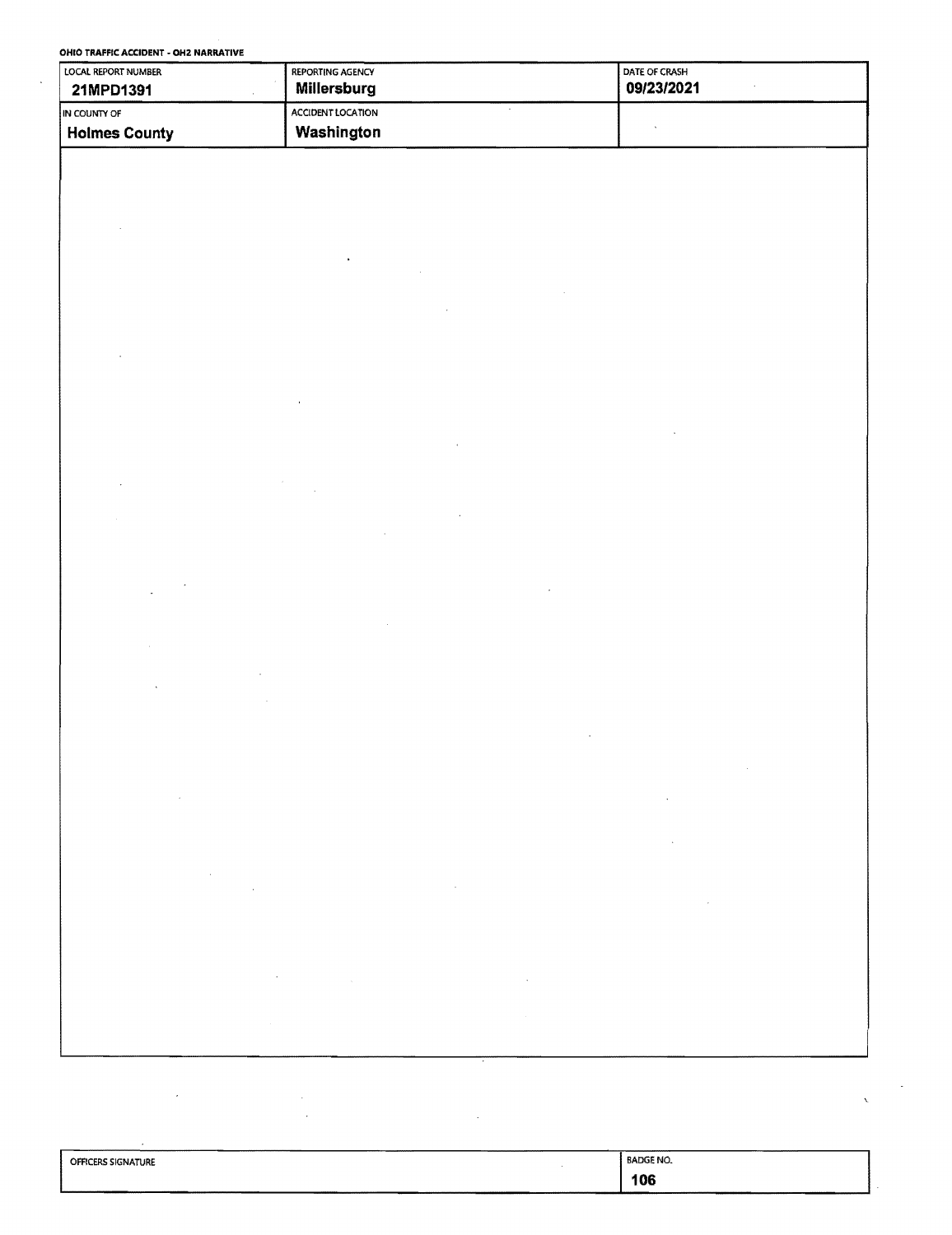| LOCAL REPORT NUMBER  | REPORTING AGENCY             | DATE OF CRASH    |
|----------------------|------------------------------|------------------|
| 21MPD1391<br>Ŷ.      | Millersburg                  | 09/23/2021       |
| IN COUNTY OF         | ACCIDENT LOCATION<br>$\cdot$ |                  |
| <b>Holmes County</b> | Washington                   | $\epsilon$       |
|                      |                              |                  |
|                      |                              |                  |
|                      |                              |                  |
|                      |                              |                  |
|                      |                              |                  |
|                      |                              |                  |
|                      |                              |                  |
|                      |                              |                  |
|                      |                              |                  |
|                      |                              |                  |
|                      |                              |                  |
|                      |                              |                  |
|                      |                              |                  |
|                      |                              |                  |
|                      |                              |                  |
|                      |                              |                  |
|                      |                              |                  |
|                      |                              |                  |
|                      |                              |                  |
|                      |                              |                  |
|                      |                              |                  |
|                      |                              |                  |
|                      |                              |                  |
|                      |                              |                  |
|                      |                              |                  |
|                      |                              |                  |
|                      |                              |                  |
|                      | $_{\rm x}$                   |                  |
|                      |                              |                  |
|                      |                              |                  |
|                      |                              |                  |
|                      |                              |                  |
|                      |                              |                  |
|                      |                              |                  |
|                      |                              |                  |
|                      |                              |                  |
|                      |                              |                  |
|                      |                              |                  |
|                      |                              |                  |
|                      |                              |                  |
|                      |                              |                  |
|                      |                              |                  |
|                      |                              |                  |
|                      |                              |                  |
|                      |                              |                  |
|                      |                              |                  |
| OFFICERS SIGNATURE   |                              | <b>BADGE NO.</b> |

| <b>OFFICERS SIGNATURE</b> | <b>BADGE NO.</b> |  |
|---------------------------|------------------|--|
|                           | 106              |  |